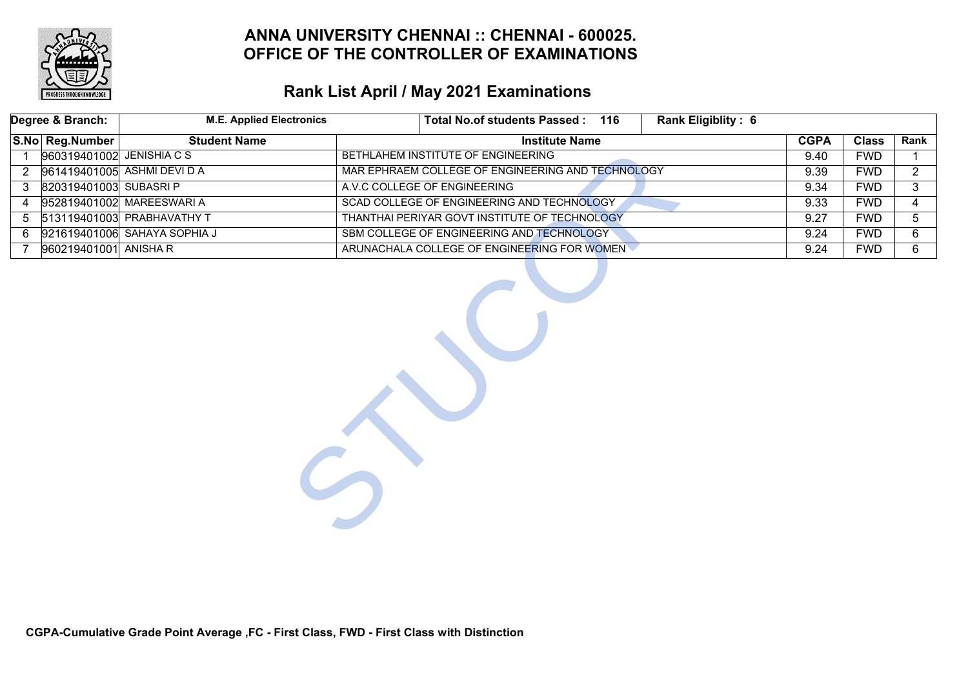

# **Rank List April / May 2021 Examinations**

|                | Degree & Branch:                                                          | <b>M.E. Applied Electronics</b>                                             | Total No.of students Passed: 116<br>Rank Eligiblity: 6 |             |              |                |
|----------------|---------------------------------------------------------------------------|-----------------------------------------------------------------------------|--------------------------------------------------------|-------------|--------------|----------------|
|                | S.No Reg.Number                                                           | <b>Student Name</b>                                                         | <b>Institute Name</b>                                  | <b>CGPA</b> | <b>Class</b> | Rank           |
| $\mathbf{1}$   | 960319401002 JENISHIA C S                                                 |                                                                             | BETHLAHEM INSTITUTE OF ENGINEERING                     | 9.40        | <b>FWD</b>   |                |
| $\overline{2}$ |                                                                           | 961419401005 ASHMI DEVI D A                                                 | MAR EPHRAEM COLLEGE OF ENGINEERING AND TECHNOLOGY      | 9.39        | <b>FWD</b>   | $\overline{2}$ |
| 3              | 820319401003 SUBASRI P                                                    |                                                                             | A.V.C COLLEGE OF ENGINEERING                           | 9.34        | <b>FWD</b>   | 3              |
| 4              |                                                                           | 952819401002 MAREESWARI A                                                   | SCAD COLLEGE OF ENGINEERING AND TECHNOLOGY             | 9.33        | <b>FWD</b>   | 4              |
| 5              |                                                                           | 513119401003 PRABHAVATHY T<br>THANTHAI PERIYAR GOVT INSTITUTE OF TECHNOLOGY |                                                        |             | <b>FWD</b>   | 5              |
| 6.             | SBM COLLEGE OF ENGINEERING AND TECHNOLOGY<br>921619401006 SAHAYA SOPHIA J |                                                                             |                                                        | 9.24        | <b>FWD</b>   | 6              |
| 7              | 960219401001 ANISHA R                                                     |                                                                             | ARUNACHALA COLLEGE OF ENGINEERING FOR WOMEN            | 9.24        | <b>FWD</b>   | 6              |
|                |                                                                           |                                                                             |                                                        |             |              |                |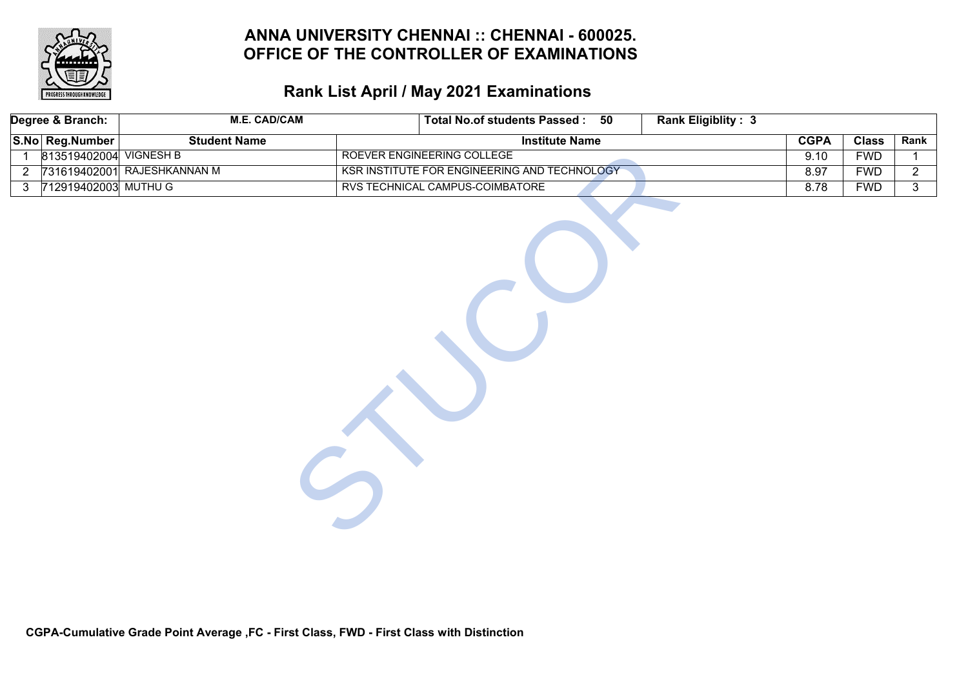

# **Rank List April / May 2021 Examinations**

|                | Degree & Branch:       | <b>M.E. CAD/CAM</b>         | Total No.of students Passed : 50<br><b>Rank Eligiblity: 3</b> |             |              |                |
|----------------|------------------------|-----------------------------|---------------------------------------------------------------|-------------|--------------|----------------|
|                | S.No Reg.Number        | <b>Student Name</b>         | <b>Institute Name</b>                                         | <b>CGPA</b> | <b>Class</b> | Rank           |
| $\mathbf{1}$   | 813519402004 VIGNESH B |                             | ROEVER ENGINEERING COLLEGE                                    | 9.10        | <b>FWD</b>   | $\mathbf{1}$   |
| $\overline{2}$ |                        | 731619402001 RAJESHKANNAN M | KSR INSTITUTE FOR ENGINEERING AND TECHNOLOGY                  | 8.97        | <b>FWD</b>   | $\overline{2}$ |
| $\mathbf{3}$   | 712919402003 MUTHU G   |                             | RVS TECHNICAL CAMPUS-COIMBATORE                               | 8.78        | <b>FWD</b>   | $\overline{3}$ |
|                |                        |                             |                                                               |             |              |                |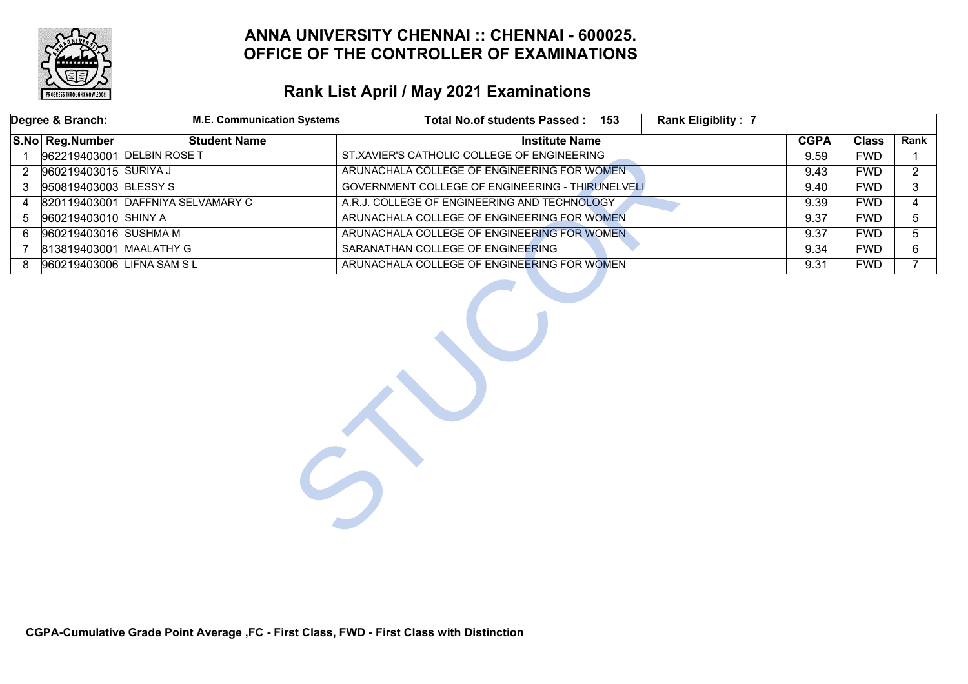

# **Rank List April / May 2021 Examinations**

| Degree & Branch:                                                               | <b>M.E. Communication Systems</b>                                    | Total No.of students Passed: 153                 | <b>Rank Eligiblity: 7</b> |              |                |
|--------------------------------------------------------------------------------|----------------------------------------------------------------------|--------------------------------------------------|---------------------------|--------------|----------------|
| S.No Reg.Number                                                                | <b>Student Name</b>                                                  | <b>Institute Name</b>                            | <b>CGPA</b>               | <b>Class</b> | Rank           |
|                                                                                | 962219403001 DELBIN ROSE T                                           | ST.XAVIER'S CATHOLIC COLLEGE OF ENGINEERING      | 9.59                      | <b>FWD</b>   |                |
| 960219403015 SURIYA J<br>$\mathbf{2}^{\circ}$                                  |                                                                      | ARUNACHALA COLLEGE OF ENGINEERING FOR WOMEN.     | 9.43                      | <b>FWD</b>   | $\overline{2}$ |
| 950819403003 BLESSY S<br>3                                                     |                                                                      | GOVERNMENT COLLEGE OF ENGINEERING - THIRUNELVELI | 9.40                      | <b>FWD</b>   | 3              |
| 4                                                                              | 820119403001 DAFFNIYA SELVAMARY C                                    | A.R.J. COLLEGE OF ENGINEERING AND TECHNOLOGY     | 9.39                      | <b>FWD</b>   | 4              |
| 960219403010 SHINY A<br>5                                                      |                                                                      | ARUNACHALA COLLEGE OF ENGINEERING FOR WOMEN      | 9.37                      | <b>FWD</b>   | 5              |
| 6                                                                              | 960219403016 SUSHMA M<br>ARUNACHALA COLLEGE OF ENGINEERING FOR WOMEN |                                                  | 9.37                      | <b>FWD</b>   | 5              |
| 813819403001 MAALATHY G<br>SARANATHAN COLLEGE OF ENGINEERING<br>$\overline{7}$ |                                                                      |                                                  | 9.34                      | <b>FWD</b>   | 6              |
| 8                                                                              | 960219403006 LIFNA SAM SL                                            | ARUNACHALA COLLEGE OF ENGINEERING FOR WOMEN      | 9.31                      | <b>FWD</b>   | $7^{\circ}$    |
|                                                                                |                                                                      |                                                  |                           |              |                |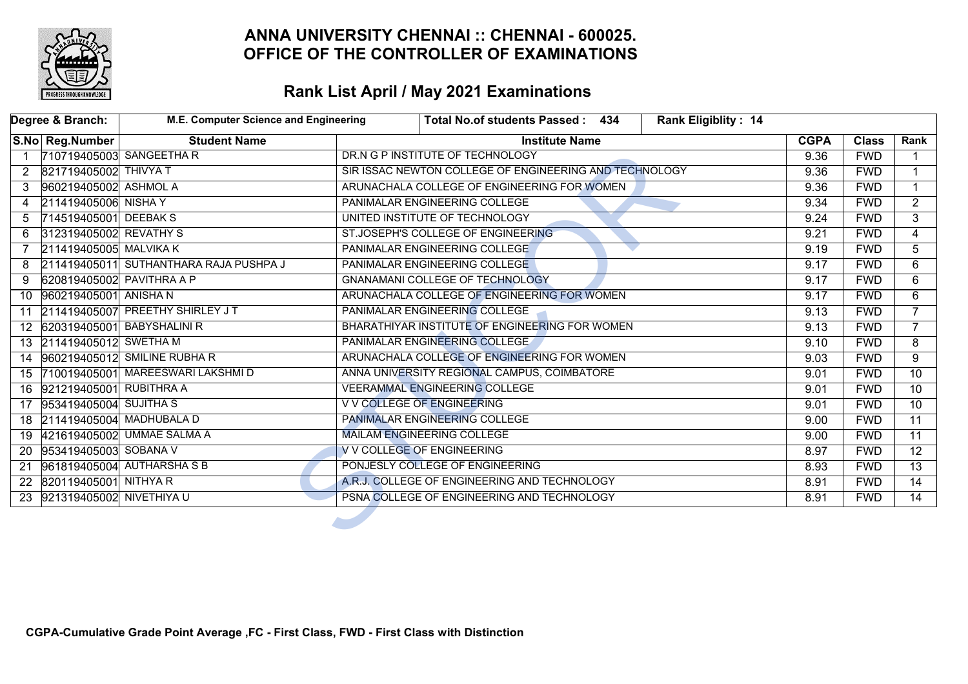

|                   | Degree & Branch:            | M.E. Computer Science and Engineering  | Total No.of students Passed: 434                       | <b>Rank Eligiblity: 14</b> |             |              |                 |
|-------------------|-----------------------------|----------------------------------------|--------------------------------------------------------|----------------------------|-------------|--------------|-----------------|
|                   | S.No Reg.Number             | <b>Student Name</b>                    | <b>Institute Name</b>                                  |                            | <b>CGPA</b> | <b>Class</b> | Rank            |
| $\overline{1}$    | 710719405003 SANGEETHA R    |                                        | DR.N G P INSTITUTE OF TECHNOLOGY                       |                            | 9.36        | <b>FWD</b>   |                 |
| 2                 | 821719405002 THIVYA T       |                                        | SIR ISSAC NEWTON COLLEGE OF ENGINEERING AND TECHNOLOGY |                            | 9.36        | <b>FWD</b>   | $\mathbf 1$     |
| 3                 | 960219405002 ASHMOL A       |                                        | ARUNACHALA COLLEGE OF ENGINEERING FOR WOMEN            |                            | 9.36        | <b>FWD</b>   | $\mathbf{1}$    |
| 4                 | 211419405006 NISHA Y        |                                        | PANIMALAR ENGINEERING COLLEGE                          |                            | 9.34        | <b>FWD</b>   | $\overline{2}$  |
| 5                 | 714519405001 DEEBAK S       |                                        | UNITED INSTITUTE OF TECHNOLOGY                         |                            |             | <b>FWD</b>   | 3               |
| 6.                | 312319405002 REVATHY S      |                                        | ST.JOSEPH'S COLLEGE OF ENGINEERING                     |                            |             | <b>FWD</b>   | $\overline{4}$  |
| $\overline{7}$    | 211419405005 MALVIKA K      |                                        | PANIMALAR ENGINEERING COLLEGE                          |                            |             |              | 5               |
| 8                 |                             | 211419405011 SUTHANTHARA RAJA PUSHPA J | PANIMALAR ENGINEERING COLLEGE                          |                            |             |              | 6               |
| 9                 | 620819405002 PAVITHRA A P   |                                        | <b>GNANAMANI COLLEGE OF TECHNOLOGY</b>                 |                            |             |              | 6               |
| 10 <sup>°</sup>   | 960219405001 ANISHA N       |                                        | ARUNACHALA COLLEGE OF ENGINEERING FOR WOMEN            |                            | 9.17        | <b>FWD</b>   | 6               |
| 11                |                             | 211419405007 PREETHY SHIRLEY JT        | <b>PANIMALAR ENGINEERING COLLEGE</b>                   |                            |             | <b>FWD</b>   | $\overline{7}$  |
|                   |                             | 12 620319405001 BABYSHALINIR           | BHARATHIYAR INSTITUTE OF ENGINEERING FOR WOMEN         |                            | 9.13        | <b>FWD</b>   | $7^{\circ}$     |
|                   | 13 211419405012 SWETHA M    |                                        | PANIMALAR ENGINEERING COLLEGE                          |                            | 9.10        | <b>FWD</b>   | 8               |
| 14                |                             | 960219405012 SMILINE RUBHA R           | ARUNACHALA COLLEGE OF ENGINEERING FOR WOMEN            |                            | 9.03        | <b>FWD</b>   | 9               |
| 15                |                             | 710019405001 MAREESWARI LAKSHMID       | ANNA UNIVERSITY REGIONAL CAMPUS, COIMBATORE            |                            | 9.01        | <b>FWD</b>   | $\overline{10}$ |
| 16                | 921219405001 RUBITHRA A     |                                        | <b>VEERAMMAL ENGINEERING COLLEGE</b>                   |                            | 9.01        | <b>FWD</b>   | $\overline{10}$ |
| 17                | 953419405004 SUJITHA S      |                                        | V V COLLEGE OF ENGINEERING                             |                            | 9.01        | <b>FWD</b>   | $\overline{10}$ |
|                   | 18 211419405004 MADHUBALA D |                                        | PANIMALAR ENGINEERING COLLEGE                          |                            | 9.00        | <b>FWD</b>   | $\overline{11}$ |
|                   |                             | 19 421619405002 UMMAE SALMA A          | <b>MAILAM ENGINEERING COLLEGE</b>                      |                            | 9.00        | <b>FWD</b>   | $\overline{11}$ |
| <b>20</b>         | 953419405003 SOBANA V       |                                        | V V COLLEGE OF ENGINEERING                             |                            | 8.97        | <b>FWD</b>   | $\overline{12}$ |
| 21                |                             | 961819405004 AUTHARSHASB               | PONJESLY COLLEGE OF ENGINEERING                        |                            | 8.93        | <b>FWD</b>   | $\overline{13}$ |
| $22 \overline{ }$ | 820119405001 NITHYA R       |                                        | A.R.J. COLLEGE OF ENGINEERING AND TECHNOLOGY           |                            | 8.91        | <b>FWD</b>   | $\overline{14}$ |
|                   | 23 921319405002 NIVETHIYA U |                                        | PSNA COLLEGE OF ENGINEERING AND TECHNOLOGY             |                            | 8.91        | <b>FWD</b>   | $\overline{14}$ |
|                   |                             |                                        |                                                        |                            |             |              |                 |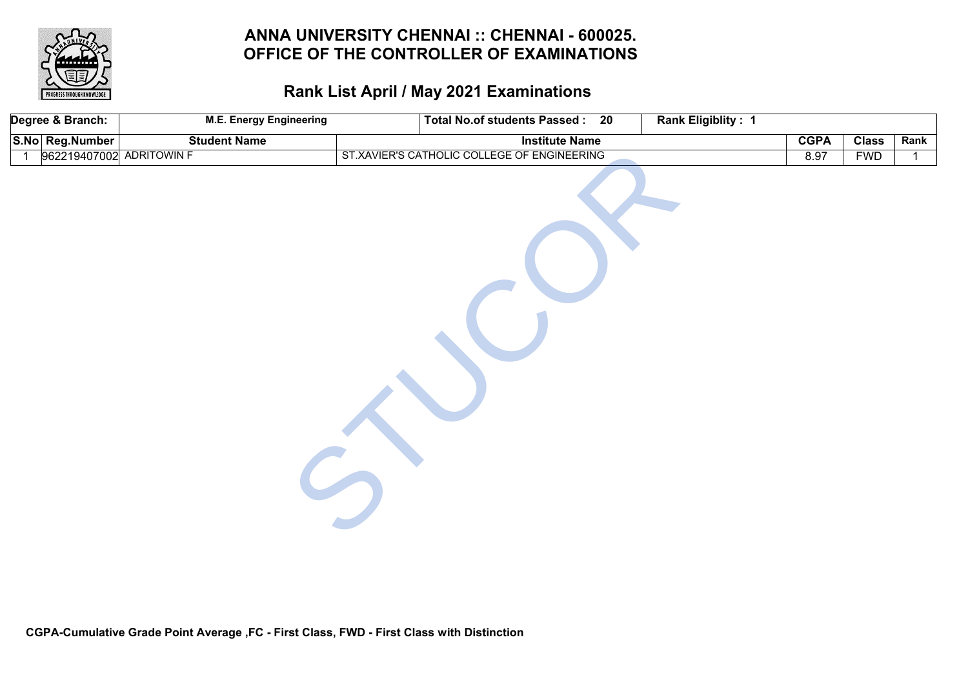

| Degree & Branch:         | <b>M.E. Energy Engineering</b> | <b>Total No.of students Passed:</b><br>20   | <b>Rank Eligiblity: 1</b> |             |              |      |
|--------------------------|--------------------------------|---------------------------------------------|---------------------------|-------------|--------------|------|
| S.No Reg.Number          | <b>Student Name</b>            | <b>Institute Name</b>                       |                           | <b>CGPA</b> | <b>Class</b> | Rank |
| 962219407002 ADRITOWIN F |                                | ST.XAVIER'S CATHOLIC COLLEGE OF ENGINEERING |                           | 8.97        | <b>FWD</b>   | 1    |
|                          |                                |                                             |                           |             |              |      |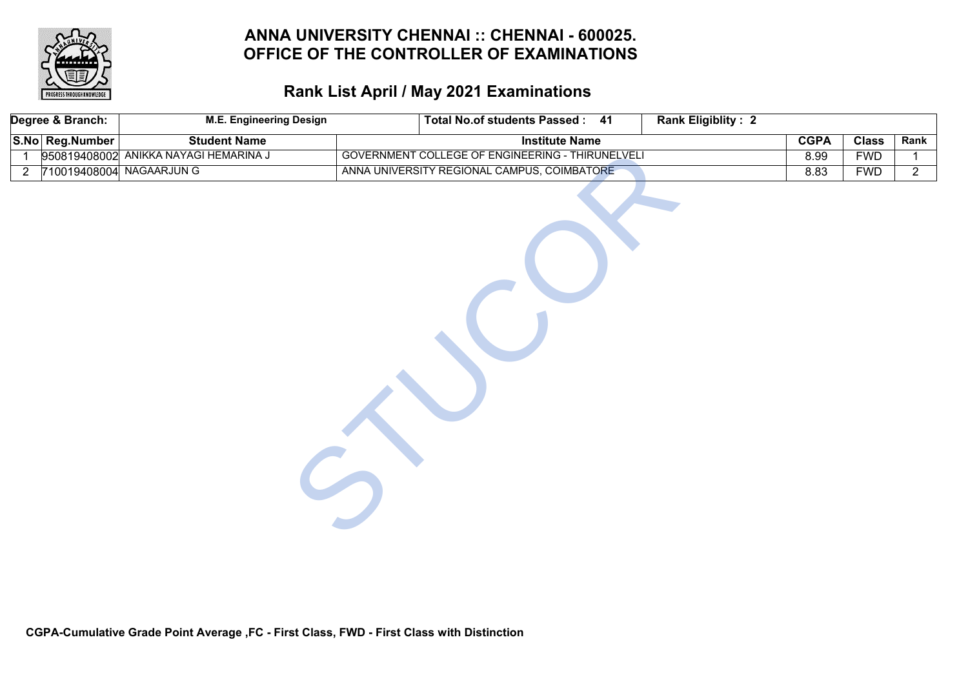

# **Rank List April / May 2021 Examinations**

| Degree & Branch: |                 | <b>M.E. Engineering Design</b>        | Total No.of students Passed: 41<br><b>Rank Eligiblity: 2</b> |  |             |              |                |
|------------------|-----------------|---------------------------------------|--------------------------------------------------------------|--|-------------|--------------|----------------|
|                  | S.No Reg.Number | <b>Student Name</b>                   | <b>Institute Name</b>                                        |  | <b>CGPA</b> | <b>Class</b> | Rank           |
| 1                |                 | 950819408002 ANIKKA NAYAGI HEMARINA J | GOVERNMENT COLLEGE OF ENGINEERING - THIRUNELVELI             |  | 8.99        | <b>FWD</b>   | $\mathbf{1}$   |
| $\overline{2}$   |                 | 710019408004 NAGAARJUN G              | ANNA UNIVERSITY REGIONAL CAMPUS, COIMBATORE                  |  | 8.83        | <b>FWD</b>   | $\overline{2}$ |
|                  |                 |                                       |                                                              |  |             |              |                |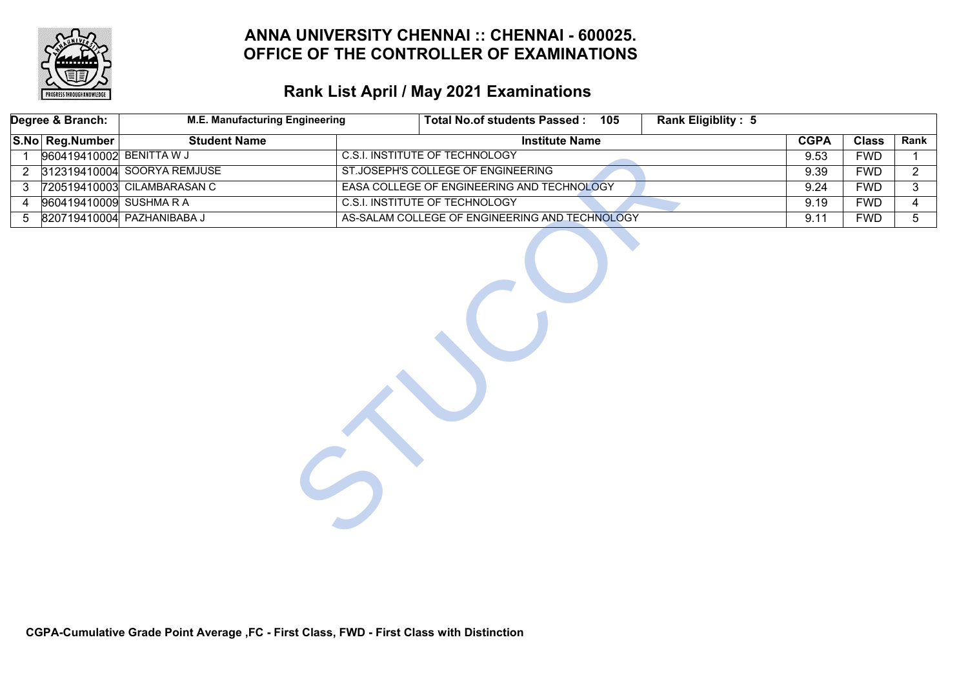

|                | Degree & Branch:         | <b>M.E. Manufacturing Engineering</b> |  | <b>Total No.of students Passed:</b><br>105     | <b>Rank Eligiblity: 5</b> |             |              |                |
|----------------|--------------------------|---------------------------------------|--|------------------------------------------------|---------------------------|-------------|--------------|----------------|
|                | S.No Reg.Number          | <b>Student Name</b>                   |  | <b>Institute Name</b>                          |                           | <b>CGPA</b> | <b>Class</b> | Rank           |
| $\mathbf{1}$   | 960419410002 BENITTA W J |                                       |  | <b>C.S.I. INSTITUTE OF TECHNOLOGY</b>          |                           | 9.53        | <b>FWD</b>   |                |
| $\overline{2}$ |                          | 312319410004 SOORYA REMJUSE           |  | ST.JOSEPH'S COLLEGE OF ENGINEERING             |                           | 9.39        | <b>FWD</b>   | $\overline{2}$ |
| 3              |                          | 720519410003 CILAMBARASAN C           |  | EASA COLLEGE OF ENGINEERING AND TECHNOLOGY     |                           | 9.24        | <b>FWD</b>   | 3              |
| 4              | 960419410009 SUSHMARA    |                                       |  | <b>C.S.I. INSTITUTE OF TECHNOLOGY</b>          |                           | 9.19        | <b>FWD</b>   | 4              |
| 5              |                          | 820719410004 PAZHANIBABA J            |  | AS-SALAM COLLEGE OF ENGINEERING AND TECHNOLOGY |                           | 9.11        | <b>FWD</b>   | 5 <sub>5</sub> |
|                |                          |                                       |  |                                                |                           |             |              |                |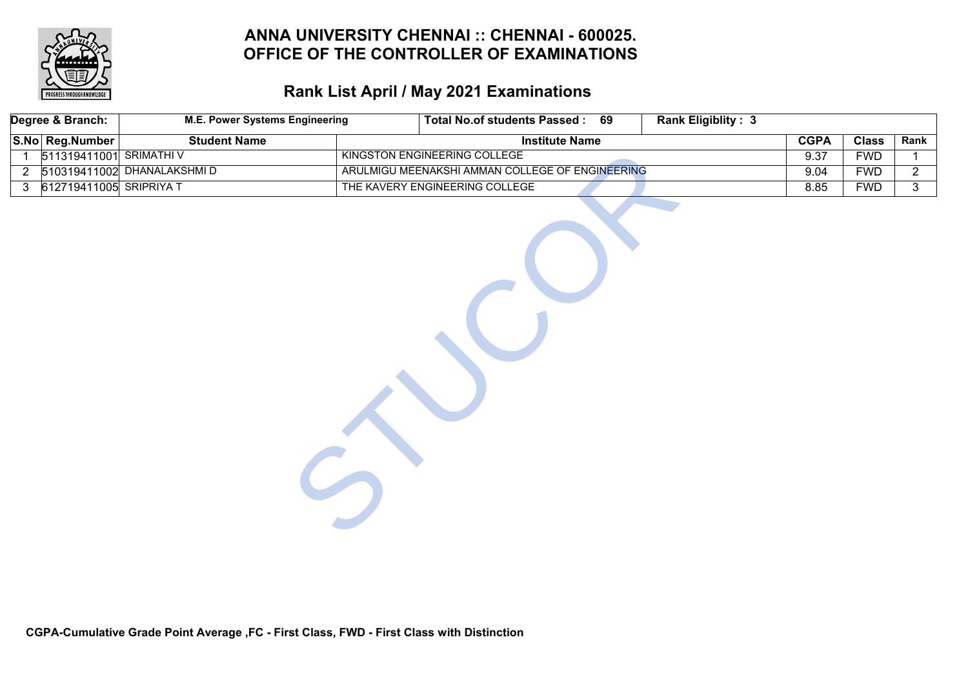

# **Rank List April / May 2021 Examinations**

| Degree & Branch:        |                                        | <b>M.E. Power Systems Engineering</b> |  | Total No.of students Passed: 69                 |  | <b>Rank Eligiblity: 3</b> |              |            |                |
|-------------------------|----------------------------------------|---------------------------------------|--|-------------------------------------------------|--|---------------------------|--------------|------------|----------------|
|                         | S.No Reg.Number<br><b>Student Name</b> |                                       |  | <b>Institute Name</b>                           |  | <b>CGPA</b>               | <b>Class</b> | Rank       |                |
| $\mathbf{1}$            |                                        | 511319411001 SRIMATHI V               |  | KINGSTON ENGINEERING COLLEGE                    |  |                           | 9.37         | <b>FWD</b> | $\mathbf 1$    |
| $\overline{2}$          |                                        | 510319411002 DHANALAKSHMID            |  | ARULMIGU MEENAKSHI AMMAN COLLEGE OF ENGINEERING |  |                           | 9.04         | <b>FWD</b> | $\overline{2}$ |
| $3\phantom{.0}$         |                                        |                                       |  | THE KAVERY ENGINEERING COLLEGE                  |  |                           | 8.85         | <b>FWD</b> | $\overline{3}$ |
| 612719411005 SRIPRIYA T |                                        |                                       |  |                                                 |  |                           |              |            |                |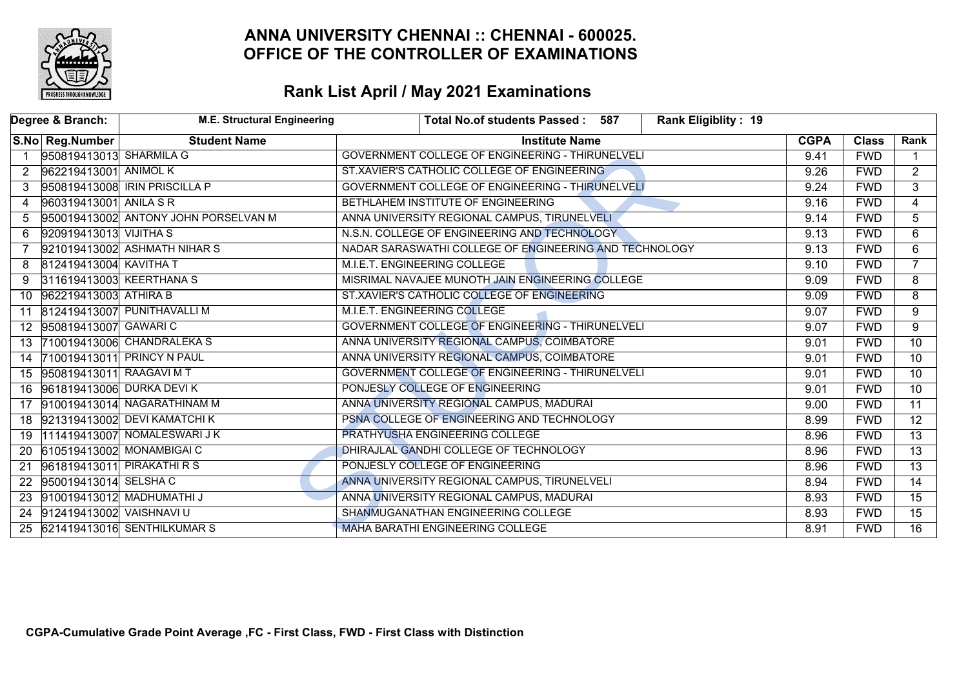

| Degree & Branch:     |                            | <b>M.E. Structural Engineering</b>   | <b>Rank Eligiblity: 19</b><br>Total No.of students Passed: 587 |             |              |                 |
|----------------------|----------------------------|--------------------------------------|----------------------------------------------------------------|-------------|--------------|-----------------|
|                      | S.No Reg.Number            | <b>Student Name</b>                  | <b>Institute Name</b>                                          | <b>CGPA</b> | <b>Class</b> | Rank            |
| $\overline{1}$       | 950819413013 SHARMILA G    |                                      | GOVERNMENT COLLEGE OF ENGINEERING - THIRUNELVELI               | 9.41        | <b>FWD</b>   | $\mathbf 1$     |
| $\mathbf{2}^{\circ}$ | 962219413001 ANIMOL K      |                                      | ST.XAVIER'S CATHOLIC COLLEGE OF ENGINEERING                    | 9.26        | <b>FWD</b>   | $\overline{2}$  |
|                      |                            | 950819413008 IRIN PRISCILLA P        | GOVERNMENT COLLEGE OF ENGINEERING - THIRUNELVELI               | 9.24        | <b>FWD</b>   | $\overline{3}$  |
| 4                    | 960319413001 ANILA S R     |                                      | BETHLAHEM INSTITUTE OF ENGINEERING                             | 9.16        | <b>FWD</b>   | $\overline{4}$  |
| 5                    |                            | 950019413002 ANTONY JOHN PORSELVAN M | ANNA UNIVERSITY REGIONAL CAMPUS, TIRUNELVELI                   | 9.14        | <b>FWD</b>   | $\overline{5}$  |
| 6                    | 920919413013 VIJITHA S     |                                      | N.S.N. COLLEGE OF ENGINEERING AND TECHNOLOGY                   | 9.13        | <b>FWD</b>   | 6               |
| $\overline{7}$       |                            | 921019413002 ASHMATH NIHAR S         | NADAR SARASWATHI COLLEGE OF ENGINEERING AND TECHNOLOGY         | 9.13        | <b>FWD</b>   | 6               |
| 8                    | 812419413004 KAVITHA T     |                                      | M.I.E.T. ENGINEERING COLLEGE                                   | 9.10        | <b>FWD</b>   | $\overline{7}$  |
| 9                    | 311619413003 KEERTHANA S   |                                      | MISRIMAL NAVAJEE MUNOTH JAIN ENGINEERING COLLEGE               | 9.09        | <b>FWD</b>   | 8               |
| 10                   | 962219413003 ATHIRA B      |                                      | ST.XAVIER'S CATHOLIC COLLEGE OF ENGINEERING                    | 9.09        | <b>FWD</b>   | $\overline{8}$  |
| 11                   |                            | 812419413007 PUNITHAVALLI M          | M.I.E.T. ENGINEERING COLLEGE                                   | 9.07        | <b>FWD</b>   | $\overline{9}$  |
|                      | 12 950819413007 GAWARIC    |                                      | GOVERNMENT COLLEGE OF ENGINEERING - THIRUNELVELI               | 9.07        | <b>FWD</b>   | $\overline{9}$  |
| 13                   |                            | 710019413006 CHANDRALEKA S           | ANNA UNIVERSITY REGIONAL CAMPUS, COIMBATORE                    | 9.01        | <b>FWD</b>   | $\overline{10}$ |
|                      |                            | 14 710019413011 PRINCY N PAUL        | ANNA UNIVERSITY REGIONAL CAMPUS, COIMBATORE                    | 9.01        | <b>FWD</b>   | $\overline{10}$ |
|                      | 15 950819413011 RAAGAVI MT |                                      | GOVERNMENT COLLEGE OF ENGINEERING - THIRUNELVELI               | 9.01        | <b>FWD</b>   | 10              |
| 16                   | 961819413006 DURKA DEVIK   |                                      | PONJESLY COLLEGE OF ENGINEERING                                | 9.01        | <b>FWD</b>   | $\overline{10}$ |
| 17                   |                            | 910019413014 NAGARATHINAM M          | ANNA UNIVERSITY REGIONAL CAMPUS, MADURAI                       | 9.00        | <b>FWD</b>   | $\overline{11}$ |
|                      |                            | 18 921319413002 DEVI KAMATCHI K      | PSNA COLLEGE OF ENGINEERING AND TECHNOLOGY                     | 8.99        | <b>FWD</b>   | $\overline{12}$ |
| 19                   |                            | 111419413007 NOMALESWARI J K         | PRATHYUSHA ENGINEERING COLLEGE                                 | 8.96        | <b>FWD</b>   | $\overline{13}$ |
| <b>20</b>            |                            | 610519413002 MONAMBIGAI C            | DHIRAJLAL GANDHI COLLEGE OF TECHNOLOGY                         | 8.96        | <b>FWD</b>   | $\overline{13}$ |
| 21                   |                            | 961819413011 PIRAKATHIRS             | PONJESLY COLLEGE OF ENGINEERING                                | 8.96        | <b>FWD</b>   | $\overline{13}$ |
| $22 \overline{ }$    | 950019413014 SELSHA C      |                                      | ANNA UNIVERSITY REGIONAL CAMPUS, TIRUNELVELI                   | 8.94        | <b>FWD</b>   | $\overline{14}$ |
|                      |                            | 23 910019413012 MADHUMATHI J         | ANNA UNIVERSITY REGIONAL CAMPUS, MADURAI                       | 8.93        | <b>FWD</b>   | $\overline{15}$ |
| 24                   | 912419413002 VAISHNAVI U   |                                      | SHANMUGANATHAN ENGINEERING COLLEGE                             | 8.93        | <b>FWD</b>   | $\overline{15}$ |
|                      |                            | 25 621419413016 SENTHILKUMAR S       | <b>MAHA BARATHI ENGINEERING COLLEGE</b>                        | 8.91        | <b>FWD</b>   | $\overline{16}$ |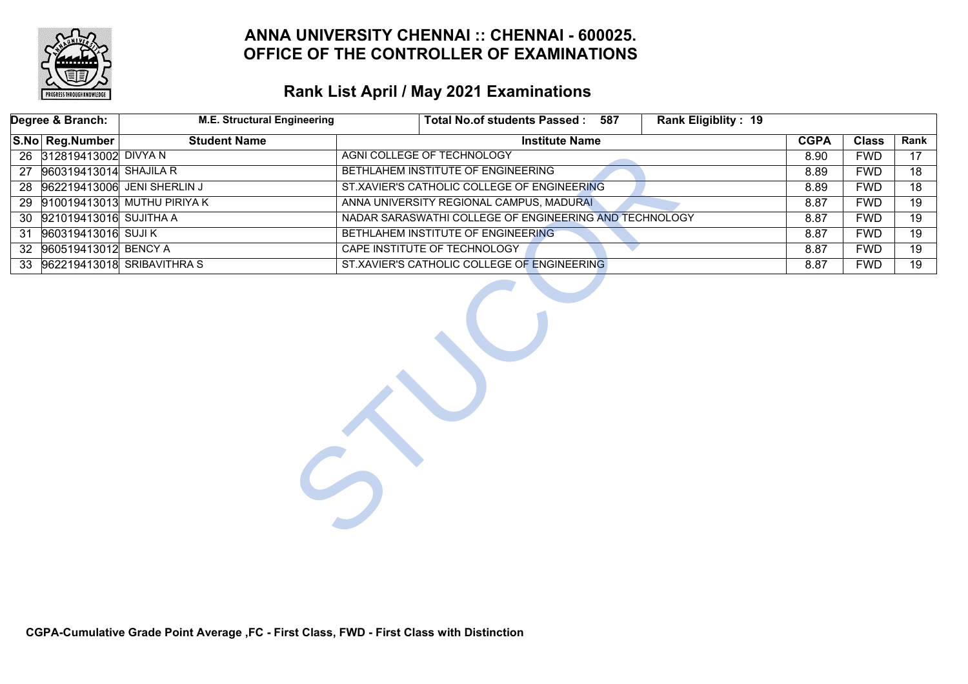

# **Rank List April / May 2021 Examinations**

| Degree & Branch: |                                                                                  | <b>M.E. Structural Engineering</b> | Rank Eligiblity: 19<br><b>Total No.of students Passed:</b><br>587 |      |            |                 |
|------------------|----------------------------------------------------------------------------------|------------------------------------|-------------------------------------------------------------------|------|------------|-----------------|
|                  | S.No Reg.Number                                                                  | <b>CGPA</b>                        | <b>Class</b>                                                      | Rank |            |                 |
|                  | 26 312819413002 DIVYA N                                                          |                                    | AGNI COLLEGE OF TECHNOLOGY                                        | 8.90 | <b>FWD</b> | 17 <sup>2</sup> |
| 27               | 960319413014 SHAJILA R                                                           |                                    | BETHLAHEM INSTITUTE OF ENGINEERING                                | 8.89 | <b>FWD</b> | 18              |
|                  |                                                                                  | 28 962219413006 JENI SHERLIN J     | ST.XAVIER'S CATHOLIC COLLEGE OF ENGINEERING                       | 8.89 | <b>FWD</b> | 18              |
|                  |                                                                                  | 29 910019413013 MUTHU PIRIYA K     | ANNA UNIVERSITY REGIONAL CAMPUS, MADURAL                          | 8.87 | <b>FWD</b> | $\overline{19}$ |
| 30               | 921019413016 SUJITHA A<br>NADAR SARASWATHI COLLEGE OF ENGINEERING AND TECHNOLOGY |                                    |                                                                   |      | <b>FWD</b> | 19              |
| 31               | 960319413016 SUJIK<br>BETHLAHEM INSTITUTE OF ENGINEERING                         |                                    |                                                                   |      | <b>FWD</b> | 19              |
| 32 <sup>2</sup>  | 960519413012 BENCY A<br><b>CAPE INSTITUTE OF TECHNOLOGY</b>                      |                                    |                                                                   |      | <b>FWD</b> | $\overline{19}$ |
|                  |                                                                                  | 33 962219413018 SRIBAVITHRA S      | ST.XAVIER'S CATHOLIC COLLEGE OF ENGINEERING                       | 8.87 | <b>FWD</b> | 19              |
|                  |                                                                                  |                                    |                                                                   |      |            |                 |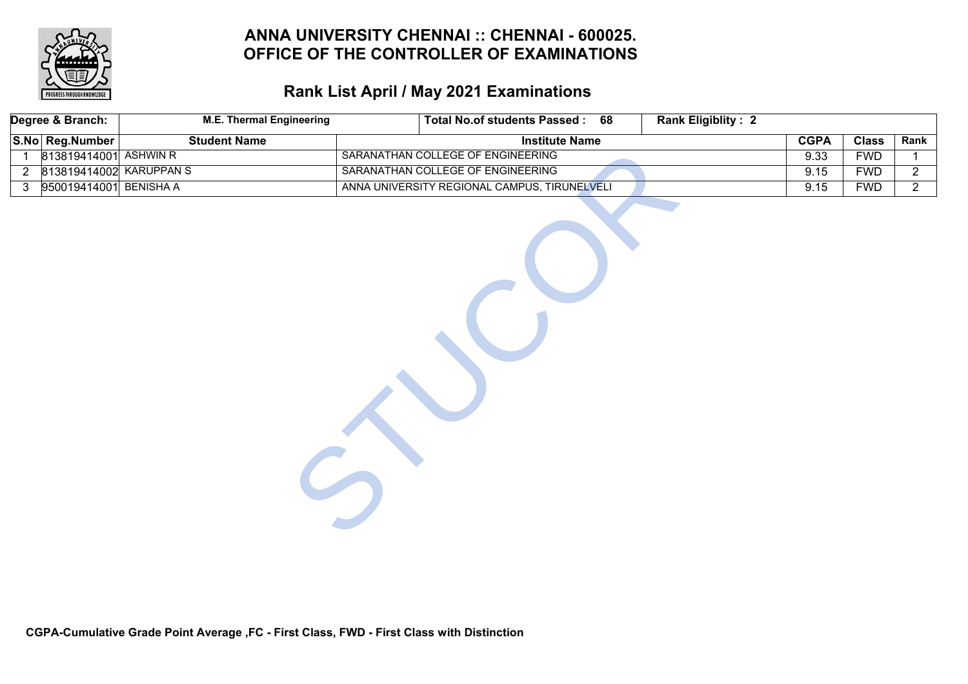

# **Rank List April / May 2021 Examinations**

|                | Degree & Branch:        | <b>M.E. Thermal Engineering</b> | <b>Rank Eligiblity: 2</b><br>Total No.of students Passed: 68 |             |              |                |
|----------------|-------------------------|---------------------------------|--------------------------------------------------------------|-------------|--------------|----------------|
|                | S.No Reg.Number         | <b>Student Name</b>             | <b>Institute Name</b>                                        | <b>CGPA</b> | <b>Class</b> | Rank           |
| 1              | 813819414001 ASHWIN R   |                                 | SARANATHAN COLLEGE OF ENGINEERING                            | 9.33        | <b>FWD</b>   | $\mathbf{1}$   |
| $\overline{2}$ | 813819414002 KARUPPAN S |                                 | SARANATHAN COLLEGE OF ENGINEERING                            | 9.15        | <b>FWD</b>   | $\overline{2}$ |
| $\mathbf{3}$   | 950019414001 BENISHA A  |                                 | ANNA UNIVERSITY REGIONAL CAMPUS, TIRUNELVELI                 | 9.15        | <b>FWD</b>   | $\overline{2}$ |
|                |                         |                                 |                                                              |             |              |                |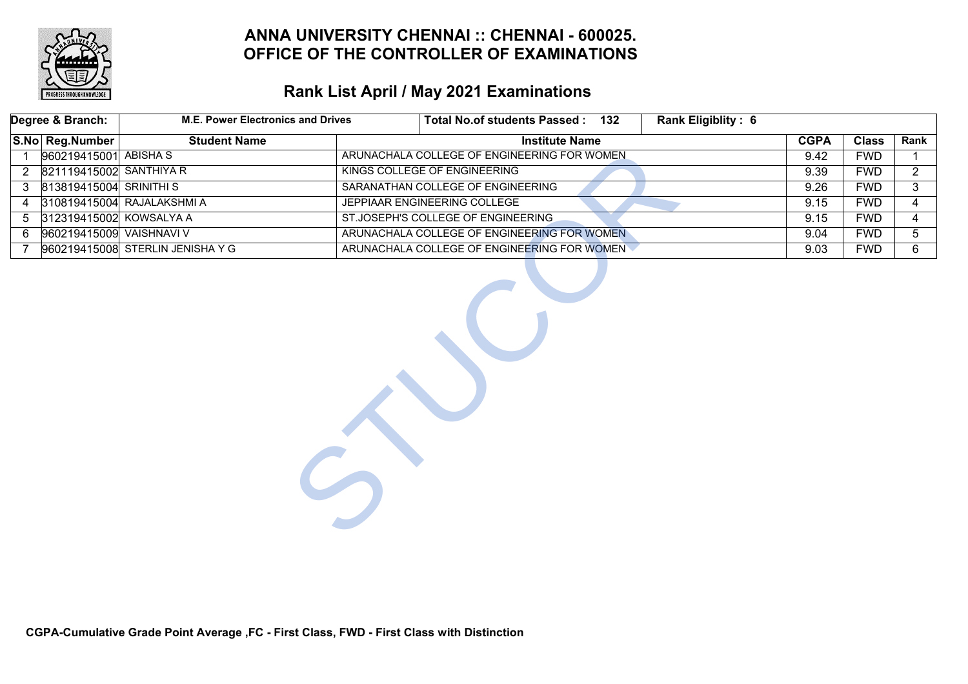

|                 | Degree & Branch:          | <b>M.E. Power Electronics and Drives</b> |                                             | Total No.of students Passed: 132            | Rank Eligiblity: 6 |             |              |                |
|-----------------|---------------------------|------------------------------------------|---------------------------------------------|---------------------------------------------|--------------------|-------------|--------------|----------------|
|                 | S.No Reg.Number           | <b>Student Name</b>                      |                                             | <b>Institute Name</b>                       |                    | <b>CGPA</b> | <b>Class</b> | Rank           |
| $\overline{1}$  | 960219415001 ABISHA S     |                                          |                                             | ARUNACHALA COLLEGE OF ENGINEERING FOR WOMEN |                    | 9.42        | <b>FWD</b>   |                |
|                 | 2 821119415002 SANTHIYA R |                                          |                                             | KINGS COLLEGE OF ENGINEERING                |                    | 9.39        | <b>FWD</b>   | $\overline{2}$ |
| 3 <sup>1</sup>  | 813819415004 SRINITHI S   |                                          |                                             | SARANATHAN COLLEGE OF ENGINEERING           |                    | 9.26        | <b>FWD</b>   | 3              |
| 4               |                           | 310819415004 RAJALAKSHMI A               |                                             | JEPPIAAR ENGINEERING COLLEGE                |                    |             | <b>FWD</b>   | 4              |
| $5\overline{)}$ | 312319415002 KOWSALYA A   |                                          |                                             | ST.JOSEPH'S COLLEGE OF ENGINEERING          |                    |             | <b>FWD</b>   | 4              |
| 6               | 960219415009 VAISHNAVI V  |                                          | ARUNACHALA COLLEGE OF ENGINEERING FOR WOMEN |                                             |                    | 9.04        | <b>FWD</b>   | 5              |
| $\overline{7}$  |                           | 960219415008 STERLIN JENISHA Y G         |                                             | ARUNACHALA COLLEGE OF ENGINEERING FOR WOMEN |                    | 9.03        | <b>FWD</b>   | 6              |
|                 |                           |                                          |                                             |                                             |                    |             |              |                |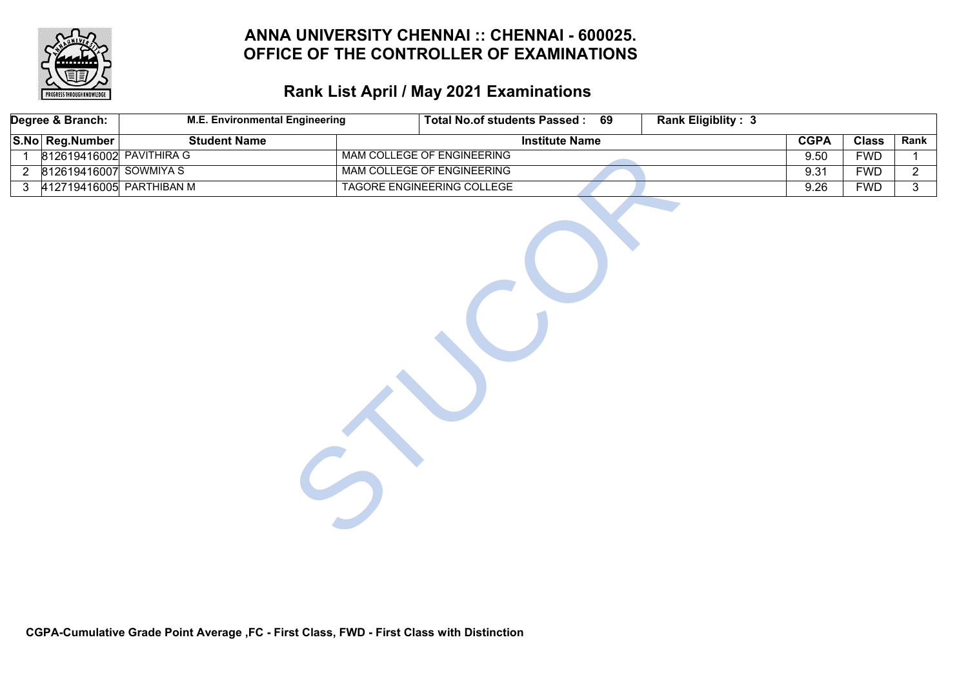

# **Rank List April / May 2021 Examinations**

| Degree & Branch: | <b>M.E. Environmental Engineering</b> | Total No.of students Passed: 69 | <b>Rank Eligiblity: 3</b> |             |              |                |
|------------------|---------------------------------------|---------------------------------|---------------------------|-------------|--------------|----------------|
| S.No Reg.Number  | <b>Student Name</b>                   | <b>Institute Name</b>           |                           | <b>CGPA</b> | <b>Class</b> | Rank           |
| $\mathbf{1}$     | 812619416002 PAVITHIRA G              | MAM COLLEGE OF ENGINEERING      |                           | 9.50        | <b>FWD</b>   | $\mathbf{1}$   |
| $\overline{2}$   | 812619416007 SOWMIYA S                | MAM COLLEGE OF ENGINEERING      |                           | 9.31        | <b>FWD</b>   | $\overline{2}$ |
| $\mathbf{3}$     | 412719416005 PARTHIBAN M              | TAGORE ENGINEERING COLLEGE      |                           | 9.26        | <b>FWD</b>   | $\overline{3}$ |
|                  |                                       |                                 |                           |             |              |                |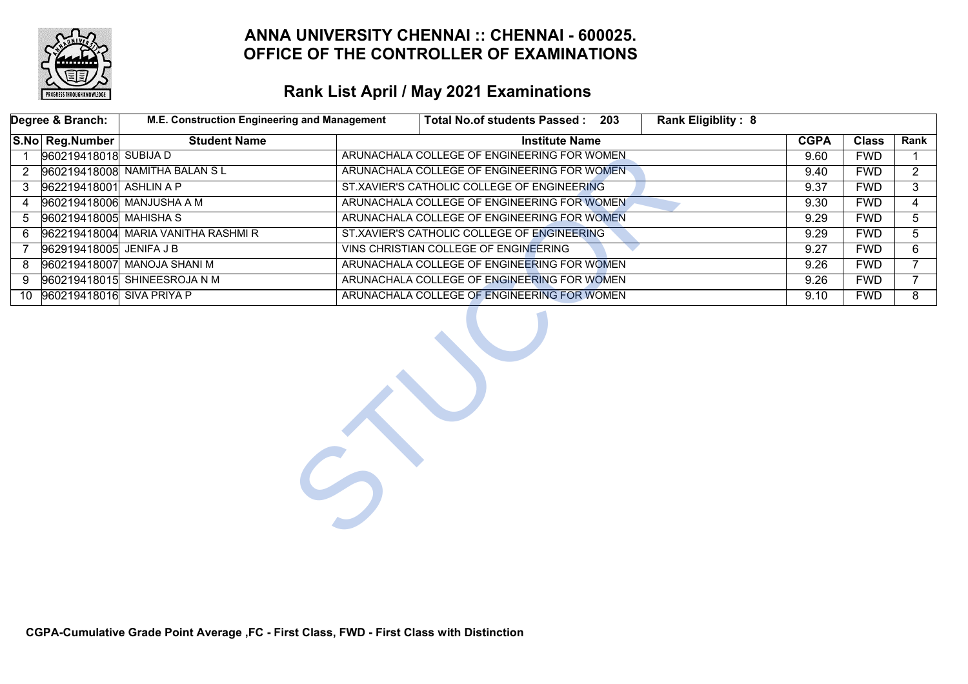

|              | Degree & Branch:          | M.E. Construction Engineering and Management | Rank Eligiblity: 8<br><b>Total No.of students Passed:</b><br>203 |             |              |                |
|--------------|---------------------------|----------------------------------------------|------------------------------------------------------------------|-------------|--------------|----------------|
|              | S.No Reg.Number           | <b>Student Name</b>                          | <b>Institute Name</b>                                            | <b>CGPA</b> | <b>Class</b> | Rank           |
| $\mathbf{1}$ | 960219418018 SUBIJA D     |                                              | ARUNACHALA COLLEGE OF ENGINEERING FOR WOMEN                      | 9.60        | <b>FWD</b>   |                |
| 2            |                           | 960219418008 NAMITHA BALAN SL                | ARUNACHALA COLLEGE OF ENGINEERING FOR WOMEN.                     | 9.40        | <b>FWD</b>   | $\overline{2}$ |
| 3            | 962219418001 ASHLIN A P   |                                              | ST.XAVIER'S CATHOLIC COLLEGE OF ENGINEERING                      | 9.37        | <b>FWD</b>   | 3              |
| 4            |                           | 960219418006 MANJUSHA A M                    | ARUNACHALA COLLEGE OF ENGINEERING FOR WOMEN                      | 9.30        | <b>FWD</b>   | 4              |
| 5            | 960219418005 MAHISHA S    |                                              | ARUNACHALA COLLEGE OF ENGINEERING FOR WOMEN                      | 9.29        | <b>FWD</b>   | 5              |
| 6            |                           | 962219418004 MARIA VANITHA RASHMI R          | ST.XAVIER'S CATHOLIC COLLEGE OF ENGINEERING                      | 9.29        | <b>FWD</b>   | 5              |
| 7            | 962919418005 JENIFA J B   |                                              | VINS CHRISTIAN COLLEGE OF ENGINEERING                            | 9.27        | <b>FWD</b>   | $\overline{6}$ |
| 8            |                           | 960219418007 MANOJA SHANI M                  | ARUNACHALA COLLEGE OF ENGINEERING FOR WOMEN                      | 9.26        | <b>FWD</b>   | $\overline{7}$ |
| 9            |                           | 960219418015 SHINEESROJA N M                 | ARUNACHALA COLLEGE OF ENGINEERING FOR WOMEN                      | 9.26        | <b>FWD</b>   | $7^{\circ}$    |
| 10           | 960219418016 SIVA PRIYA P |                                              | ARUNACHALA COLLEGE OF ENGINEERING FOR WOMEN                      | 9.10        | <b>FWD</b>   | 8              |
|              |                           |                                              |                                                                  |             |              |                |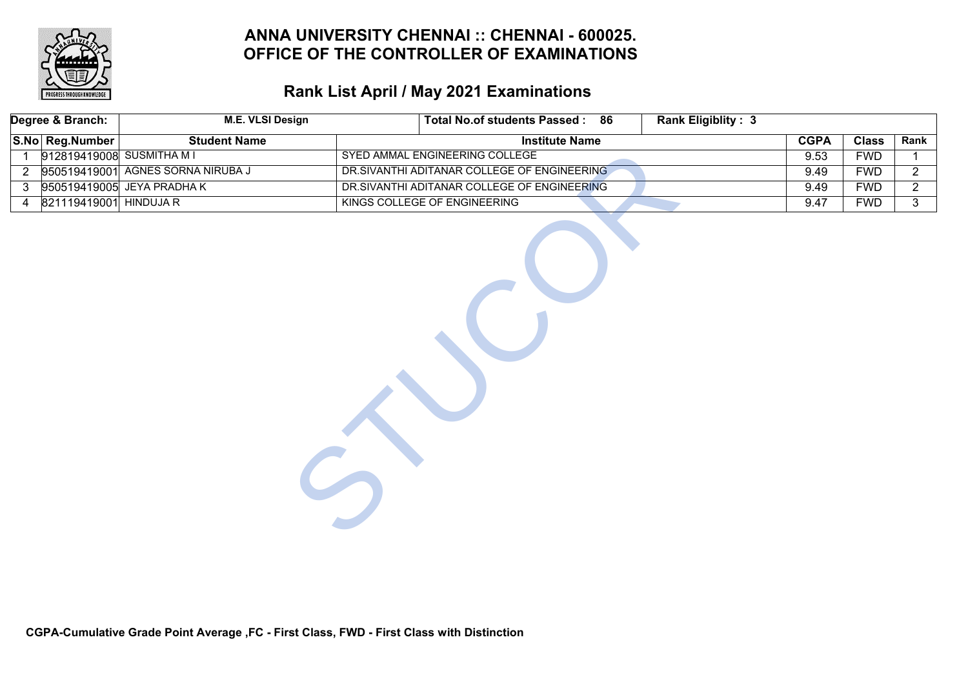

|                | Degree & Branch:          | <b>M.E. VLSI Design</b>           | Total No.of students Passed: 86             | <b>Rank Eligiblity: 3</b> |             |              |                |
|----------------|---------------------------|-----------------------------------|---------------------------------------------|---------------------------|-------------|--------------|----------------|
|                | S.No Reg.Number           | <b>Student Name</b>               | <b>Institute Name</b>                       |                           | <b>CGPA</b> | <b>Class</b> | Rank           |
| $\mathbf 1$    | 912819419008 SUSMITHA M I |                                   | SYED AMMAL ENGINEERING COLLEGE              |                           | 9.53        | <b>FWD</b>   | $\mathbf{1}$   |
| $\overline{2}$ |                           | 950519419001 AGNES SORNA NIRUBA J | DR.SIVANTHI ADITANAR COLLEGE OF ENGINEERING |                           | 9.49        | <b>FWD</b>   | $\overline{2}$ |
| 3              |                           | 950519419005 JEYA PRADHA K        | DR.SIVANTHI ADITANAR COLLEGE OF ENGINEERING |                           | 9.49        | <b>FWD</b>   | $\overline{2}$ |
| 4              | 821119419001 HINDUJA R    |                                   | KINGS COLLEGE OF ENGINEERING                |                           | 9.47        | <b>FWD</b>   | $\overline{3}$ |
|                |                           |                                   |                                             |                           |             |              |                |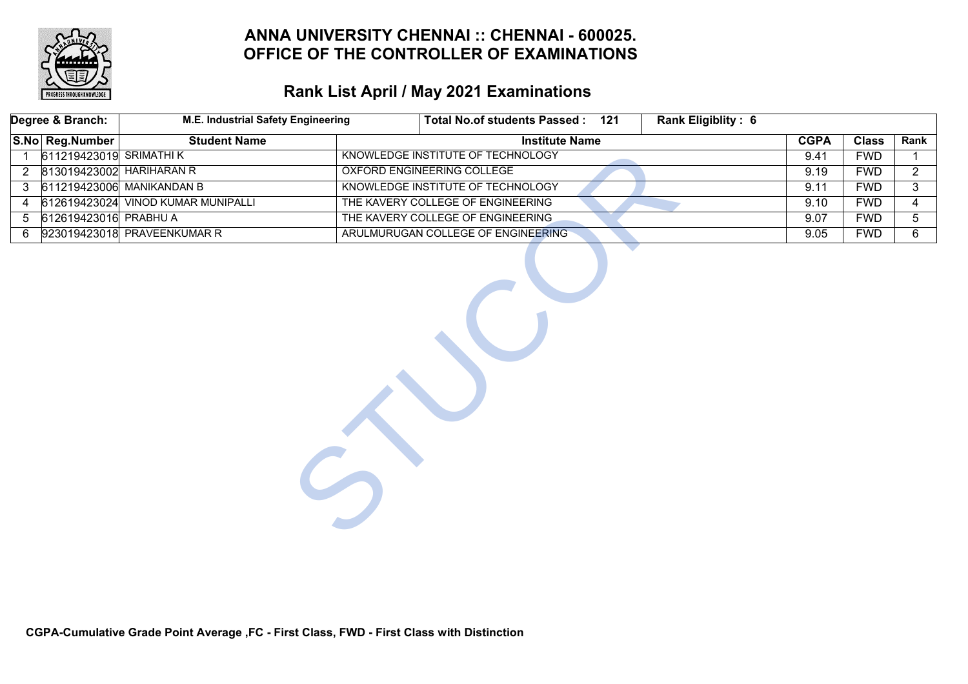

|                 | Degree & Branch:         | <b>M.E. Industrial Safety Engineering</b> | Total No.of students Passed: 121   | <b>Rank Eligiblity: 6</b> |             |              |                |
|-----------------|--------------------------|-------------------------------------------|------------------------------------|---------------------------|-------------|--------------|----------------|
|                 | S.No Reg.Number          | <b>Student Name</b>                       | <b>Institute Name</b>              |                           | <b>CGPA</b> | <b>Class</b> | Rank           |
| $\mathbf{1}$    | 611219423019 SRIMATHI K  |                                           | KNOWLEDGE INSTITUTE OF TECHNOLOGY  |                           | 9.41        | <b>FWD</b>   |                |
| $\overline{2}$  | 813019423002 HARIHARAN R |                                           | <b>OXFORD ENGINEERING COLLEGE</b>  |                           | 9.19        | <b>FWD</b>   | $\overline{2}$ |
| $\mathbf{3}$    |                          | 611219423006 MANIKANDAN B                 | KNOWLEDGE INSTITUTE OF TECHNOLOGY  |                           | 9.11        | <b>FWD</b>   | 3              |
| 4               |                          | 612619423024 VINOD KUMAR MUNIPALLI        | THE KAVERY COLLEGE OF ENGINEERING  |                           | 9.10        | <b>FWD</b>   | 4              |
| $5\overline{)}$ | 612619423016 PRABHU A    |                                           | THE KAVERY COLLEGE OF ENGINEERING  |                           | 9.07        | <b>FWD</b>   | 5              |
| 6               |                          | 923019423018 PRAVEENKUMAR R               | ARULMURUGAN COLLEGE OF ENGINEERING |                           | 9.05        | <b>FWD</b>   | 6              |
|                 |                          |                                           |                                    |                           |             |              |                |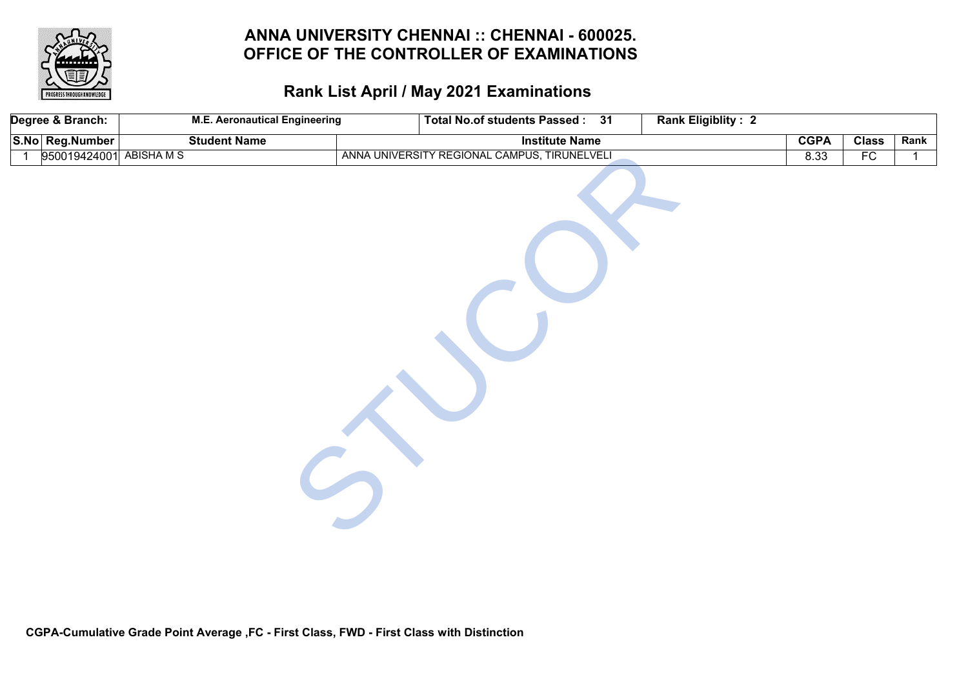

| Degree & Branch:                          | <b>M.E. Aeronautical Engineering</b> | <b>Rank Eligiblity: 2</b><br>Total No.of students Passed: 31 |             |              |             |
|-------------------------------------------|--------------------------------------|--------------------------------------------------------------|-------------|--------------|-------------|
| S.No Reg.Number                           | <b>Student Name</b>                  | <b>Institute Name</b>                                        | <b>CGPA</b> | <b>Class</b> | Rank        |
| 950019424001 ABISHA M S<br>$\overline{1}$ |                                      | ANNA UNIVERSITY REGIONAL CAMPUS, TIRUNELVELI                 | 8.33        | FC           | $\mathbf 1$ |
|                                           |                                      |                                                              |             |              |             |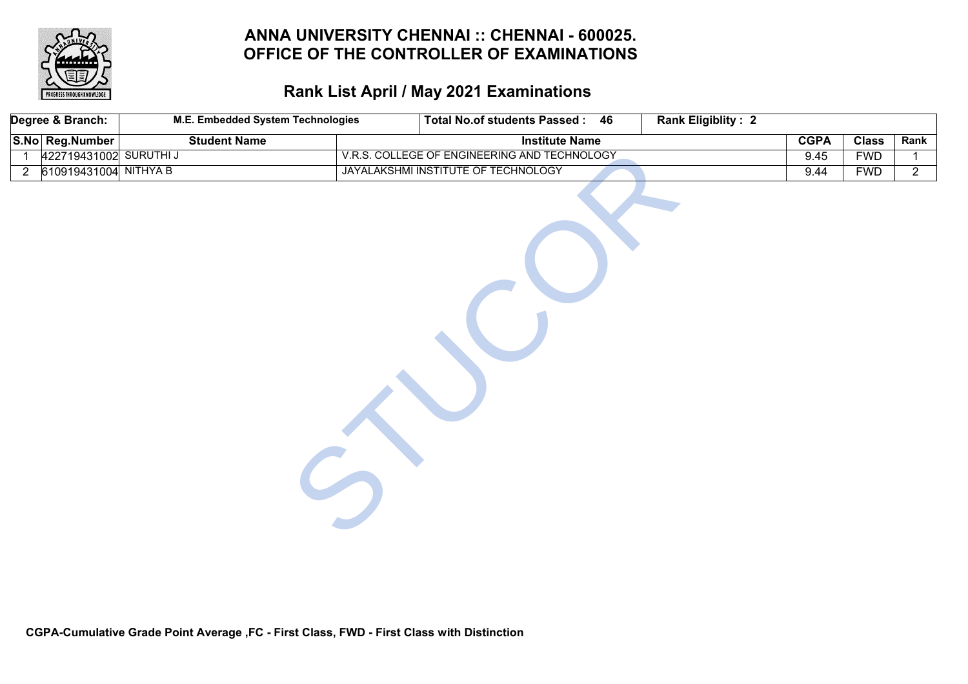

# **Rank List April / May 2021 Examinations**

|                | Degree & Branch:       | M.E. Embedded System Technologies | <b>Total No.of students Passed:</b><br>46    | <b>Rank Eligiblity: 2</b> |              |                |
|----------------|------------------------|-----------------------------------|----------------------------------------------|---------------------------|--------------|----------------|
|                | S.No Reg.Number        | <b>Student Name</b>               | <b>Institute Name</b>                        | <b>CGPA</b>               | <b>Class</b> | Rank           |
| $\mathbf{1}$   | 422719431002 SURUTHI J |                                   | V.R.S. COLLEGE OF ENGINEERING AND TECHNOLOGY | 9.45                      | <b>FWD</b>   | $\mathbf{1}$   |
| $\overline{2}$ | 610919431004 NITHYA B  |                                   | JAYALAKSHMI INSTITUTE OF TECHNOLOGY          | 9.44                      | <b>FWD</b>   | $\overline{2}$ |
|                |                        |                                   |                                              |                           |              |                |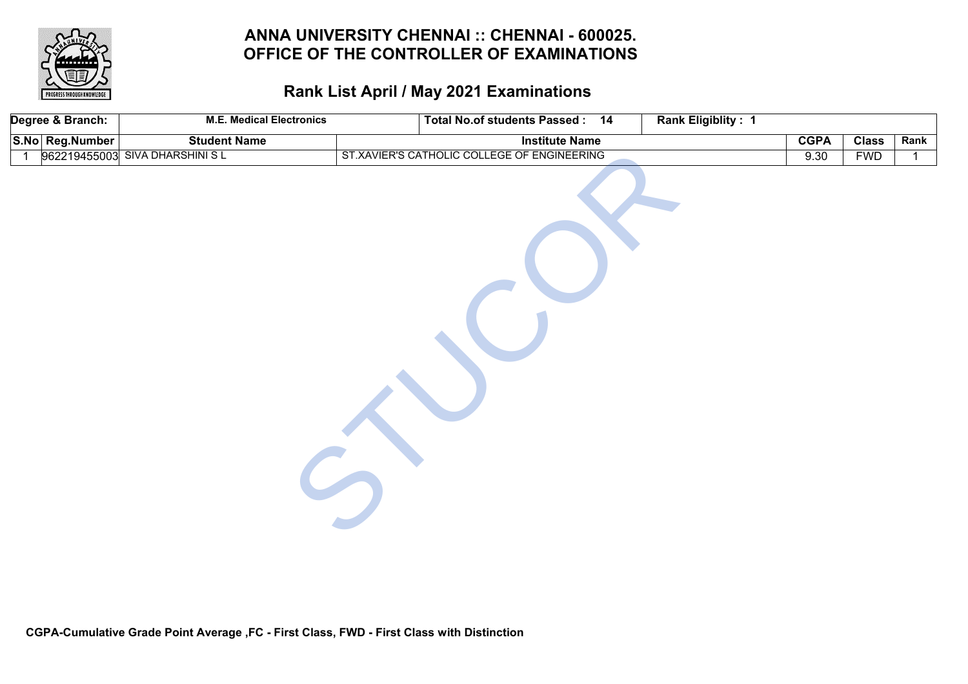

| Degree & Branch: | <b>M.E. Medical Electronics</b> | Total No.of students Passed: 14             | Rank Eligiblity: 1 |             |              |              |
|------------------|---------------------------------|---------------------------------------------|--------------------|-------------|--------------|--------------|
| S.No Reg.Number  | <b>Student Name</b>             | <b>Institute Name</b>                       |                    | <b>CGPA</b> | <b>Class</b> | Rank         |
| $\overline{1}$   | 962219455003 SIVA DHARSHINI S L | ST.XAVIER'S CATHOLIC COLLEGE OF ENGINEERING |                    | 9.30        | <b>FWD</b>   | $\mathbf{1}$ |
|                  |                                 |                                             |                    |             |              |              |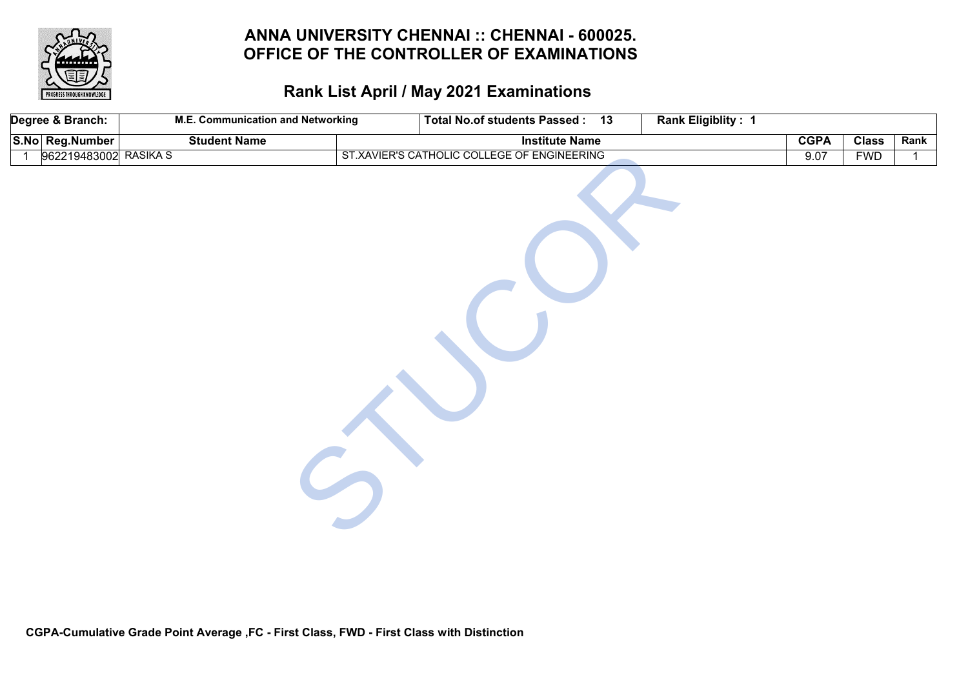

|                | Degree & Branch: | <b>M.E. Communication and Networking</b> | Total No.of students Passed: 13             | Rank Eligiblity: 1 |              |              |
|----------------|------------------|------------------------------------------|---------------------------------------------|--------------------|--------------|--------------|
|                | S.No Reg.Number  | <b>Student Name</b>                      | <b>Institute Name</b>                       | <b>CGPA</b>        | <b>Class</b> | Rank         |
| $\overline{1}$ | 962219483002     | <b>RASIKA S</b>                          | ST.XAVIER'S CATHOLIC COLLEGE OF ENGINEERING | 9.07               | <b>FWD</b>   | $\mathbf{1}$ |
|                |                  |                                          |                                             |                    |              |              |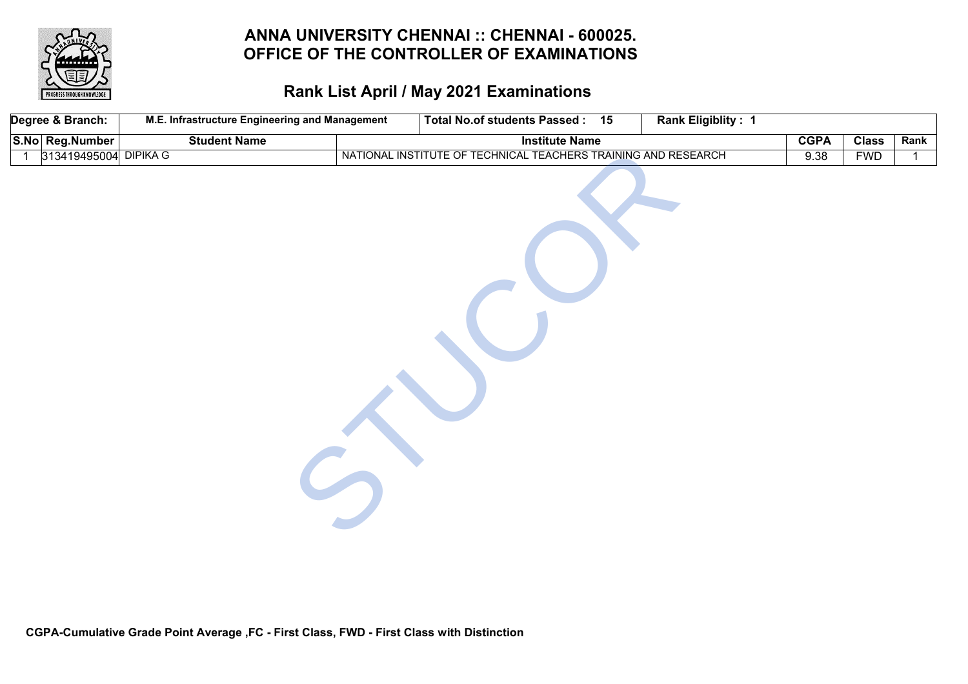

| Degree & Branch:                        | M.E. Infrastructure Engineering and Management | <b>Total No.of students Passed:</b><br>15                      | Rank Eligiblity: 1 |             |              |      |
|-----------------------------------------|------------------------------------------------|----------------------------------------------------------------|--------------------|-------------|--------------|------|
| S.No Reg.Number                         | <b>Student Name</b>                            | <b>Institute Name</b>                                          |                    | <b>CGPA</b> | <b>Class</b> | Rank |
| 313419495004 DIPIKA G<br>$\overline{1}$ |                                                | NATIONAL INSTITUTE OF TECHNICAL TEACHERS TRAINING AND RESEARCH |                    | 9.38        | <b>FWD</b>   | 1    |
|                                         |                                                |                                                                |                    |             |              |      |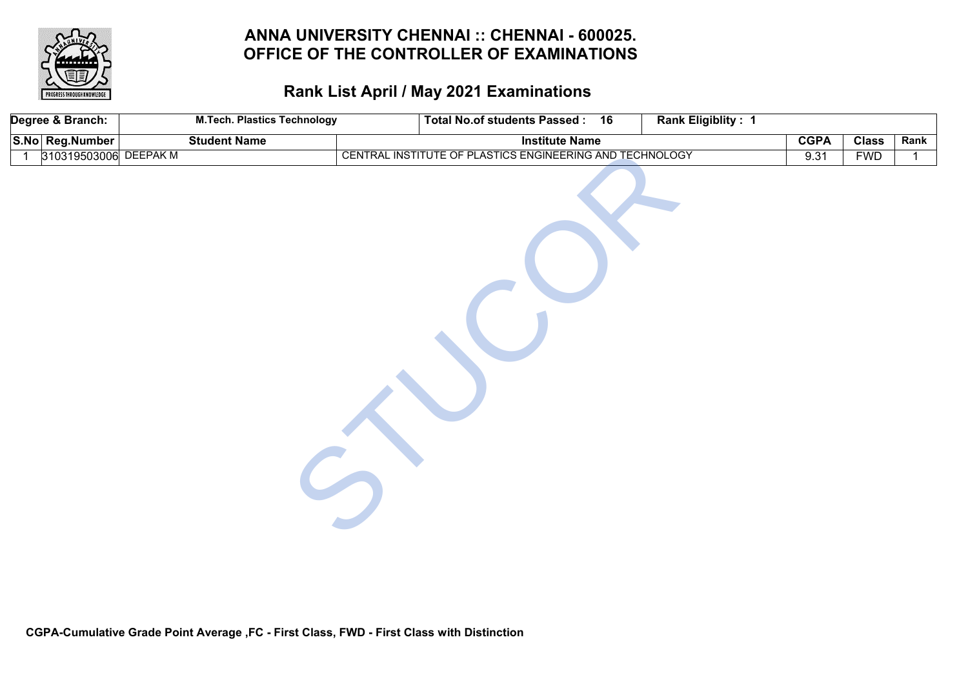

| Degree & Branch:                        | <b>M.Tech. Plastics Technology</b> | Total No.of students Passed : 16                         | Rank Eligiblity: 1 |             |              |      |
|-----------------------------------------|------------------------------------|----------------------------------------------------------|--------------------|-------------|--------------|------|
| S.No Reg.Number                         | <b>Student Name</b>                | <b>Institute Name</b>                                    |                    | <b>CGPA</b> | <b>Class</b> | Rank |
| 310319503006 DEEPAK M<br>$\overline{1}$ |                                    | CENTRAL INSTITUTE OF PLASTICS ENGINEERING AND TECHNOLOGY |                    | 9.31        | <b>FWD</b>   | 1    |
|                                         |                                    |                                                          |                    |             |              |      |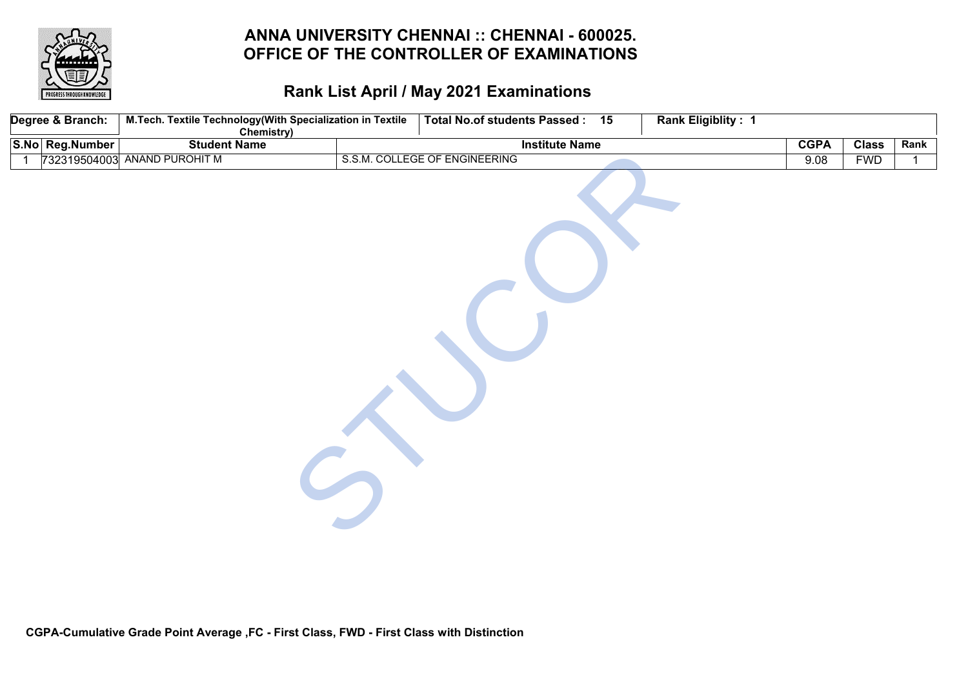

| Degree & Branch: | M.Tech. Textile Technology(With Specialization in Textile<br><b>Chemistry)</b> | Total No.of students Passed: 15 | <b>Rank Eligiblity: 1</b> |             |              |              |
|------------------|--------------------------------------------------------------------------------|---------------------------------|---------------------------|-------------|--------------|--------------|
| S.No Reg.Number  | <b>Student Name</b>                                                            | <b>Institute Name</b>           |                           | <b>CGPA</b> | <b>Class</b> | Rank         |
| - 1              | 732319504003 ANAND PUROHIT M                                                   | S.S.M. COLLEGE OF ENGINEERING   |                           | 9.08        | <b>FWD</b>   | $\mathbf{1}$ |
|                  |                                                                                |                                 |                           |             |              |              |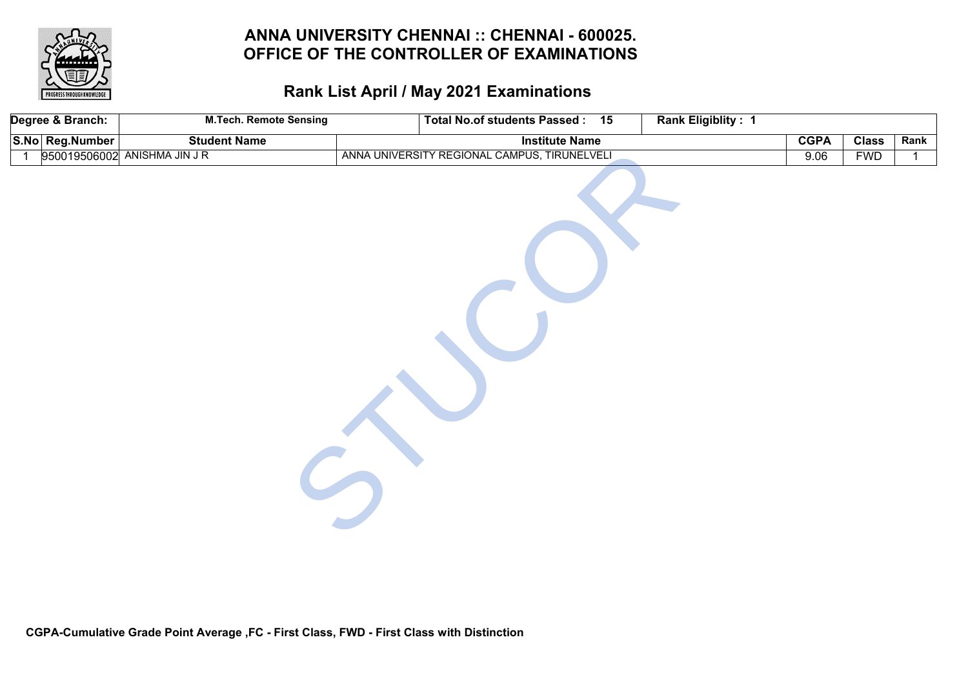

| Degree & Branch: | <b>M.Tech. Remote Sensing</b> | <b>Total No.of students Passed:</b><br>15    | <b>Rank Eligiblity: 1</b> |             |              |             |
|------------------|-------------------------------|----------------------------------------------|---------------------------|-------------|--------------|-------------|
| S.No Reg.Number  | <b>Student Name</b>           | <b>Institute Name</b>                        |                           | <b>CGPA</b> | <b>Class</b> | Rank        |
|                  | 950019506002 ANISHMA JIN J R  | ANNA UNIVERSITY REGIONAL CAMPUS, TIRUNELVELI |                           | 9.06        | <b>FWD</b>   | $\mathbf 1$ |
|                  |                               |                                              |                           |             |              |             |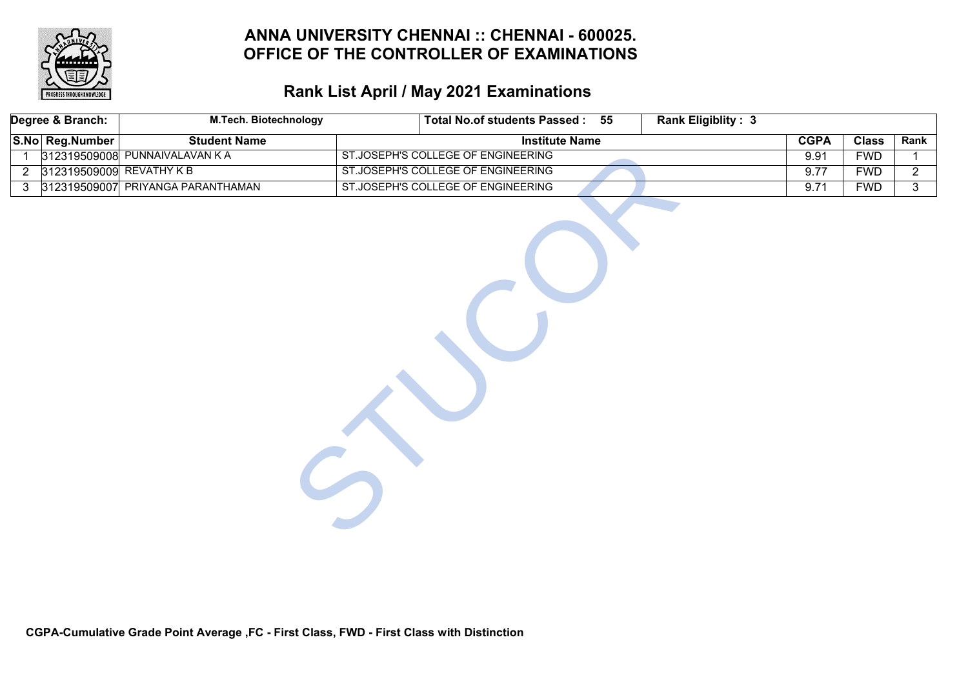

# **Rank List April / May 2021 Examinations**

|                | Degree & Branch:         | <b>M.Tech. Biotechnology</b>      | <b>Total No.of students Passed:</b> | 55 | <b>Rank Eligiblity: 3</b> |             |              |                |
|----------------|--------------------------|-----------------------------------|-------------------------------------|----|---------------------------|-------------|--------------|----------------|
|                | S.No Reg.Number          | <b>Student Name</b>               | <b>Institute Name</b>               |    |                           | <b>CGPA</b> | <b>Class</b> | Rank           |
| 1              |                          | 312319509008 PUNNAIVALAVAN KA     | ST.JOSEPH'S COLLEGE OF ENGINEERING  |    |                           | 9.91        | <b>FWD</b>   | $\mathbf{1}$   |
| $\overline{2}$ | 312319509009 REVATHY K B |                                   | ST.JOSEPH'S COLLEGE OF ENGINEERING  |    |                           | 9.77        | <b>FWD</b>   | $\overline{2}$ |
| $\mathbf{3}$   |                          | 312319509007 PRIYANGA PARANTHAMAN | ST.JOSEPH'S COLLEGE OF ENGINEERING  |    |                           | 9.71        | <b>FWD</b>   | 3 <sup>1</sup> |
|                |                          |                                   |                                     |    |                           |             |              |                |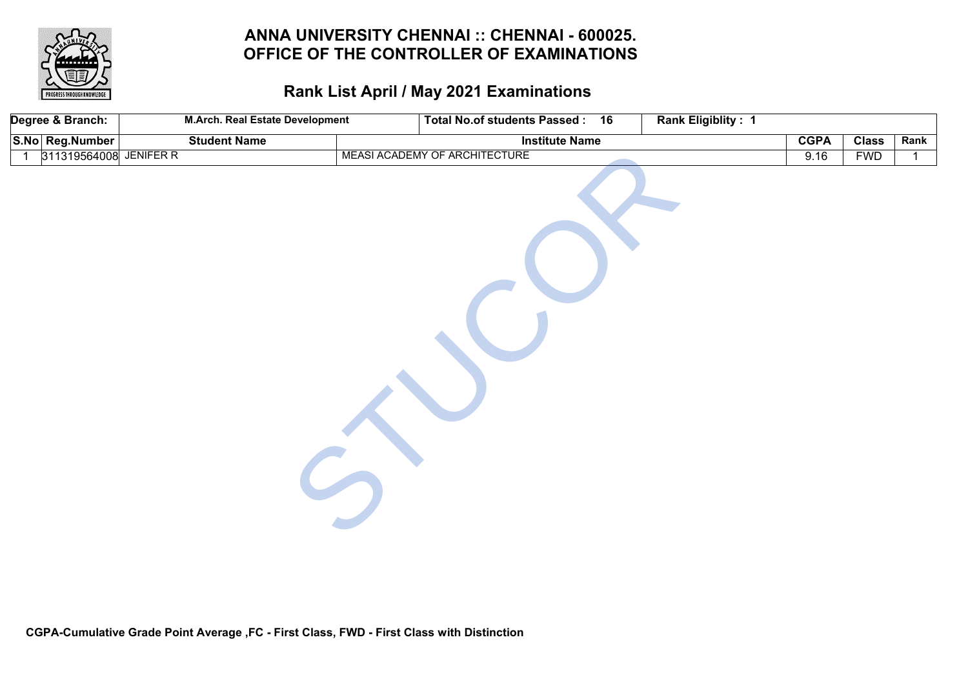

| Degree & Branch:                         | <b>M.Arch. Real Estate Development</b> | Total No.of students Passed: 16 | Rank Eligiblity: 1 |             |              |              |
|------------------------------------------|----------------------------------------|---------------------------------|--------------------|-------------|--------------|--------------|
| S.No Reg.Number                          | <b>Student Name</b>                    | <b>Institute Name</b>           |                    | <b>CGPA</b> | <b>Class</b> | Rank         |
| 311319564008 JENIFER R<br>$\overline{1}$ |                                        | MEASI ACADEMY OF ARCHITECTURE   |                    | 9.16        | <b>FWD</b>   | $\mathbf{1}$ |
|                                          |                                        |                                 |                    |             |              |              |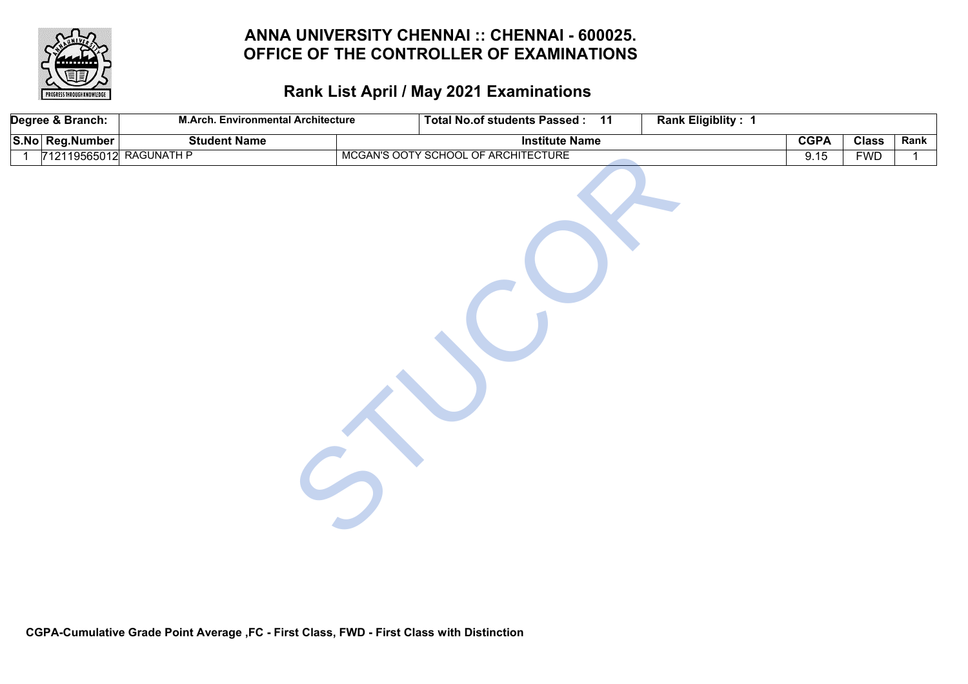

|                | Degree & Branch:        | <b>M.Arch. Environmental Architecture</b> | Total No.of students Passed: 11     | Rank Eligiblity: 1 |             |              |      |
|----------------|-------------------------|-------------------------------------------|-------------------------------------|--------------------|-------------|--------------|------|
|                | S.No Reg.Number         | <b>Student Name</b>                       | <b>Institute Name</b>               |                    | <b>CGPA</b> | <b>Class</b> | Rank |
| $\overline{1}$ | 712119565012 RAGUNATH P |                                           | MCGAN'S OOTY SCHOOL OF ARCHITECTURE |                    | 9.15        | <b>FWD</b>   | 1    |
|                |                         |                                           |                                     |                    |             |              |      |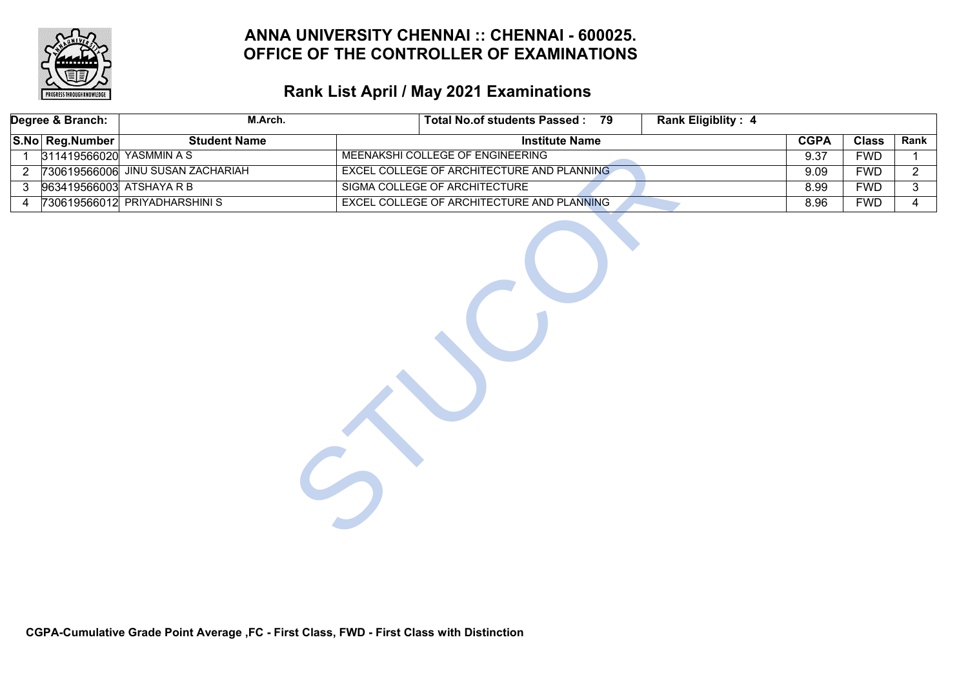

|                | Degree & Branch:         | M.Arch.                           |                                  | Total No.of students Passed: 79            | <b>Rank Eligiblity: 4</b> |             |              |                |
|----------------|--------------------------|-----------------------------------|----------------------------------|--------------------------------------------|---------------------------|-------------|--------------|----------------|
|                | S.No Reg.Number          | <b>Student Name</b>               |                                  | <b>Institute Name</b>                      |                           | <b>CGPA</b> | <b>Class</b> | Rank           |
| 1              | 311419566020 YASMMIN A S |                                   | MEENAKSHI COLLEGE OF ENGINEERING |                                            |                           | 9.37        | <b>FWD</b>   | $\mathbf{1}$   |
| $\overline{2}$ |                          | 730619566006 JINU SUSAN ZACHARIAH |                                  | EXCEL COLLEGE OF ARCHITECTURE AND PLANNING |                           | 9.09        | <b>FWD</b>   | $\overline{2}$ |
| 3              | 963419566003 ATSHAYA R B |                                   | SIGMA COLLEGE OF ARCHITECTURE    |                                            |                           | 8.99        | <b>FWD</b>   | 3              |
| 4              |                          | 730619566012 PRIYADHARSHINIS      |                                  | EXCEL COLLEGE OF ARCHITECTURE AND PLANNING |                           | 8.96        | <b>FWD</b>   | $\overline{4}$ |
|                |                          |                                   |                                  |                                            |                           |             |              |                |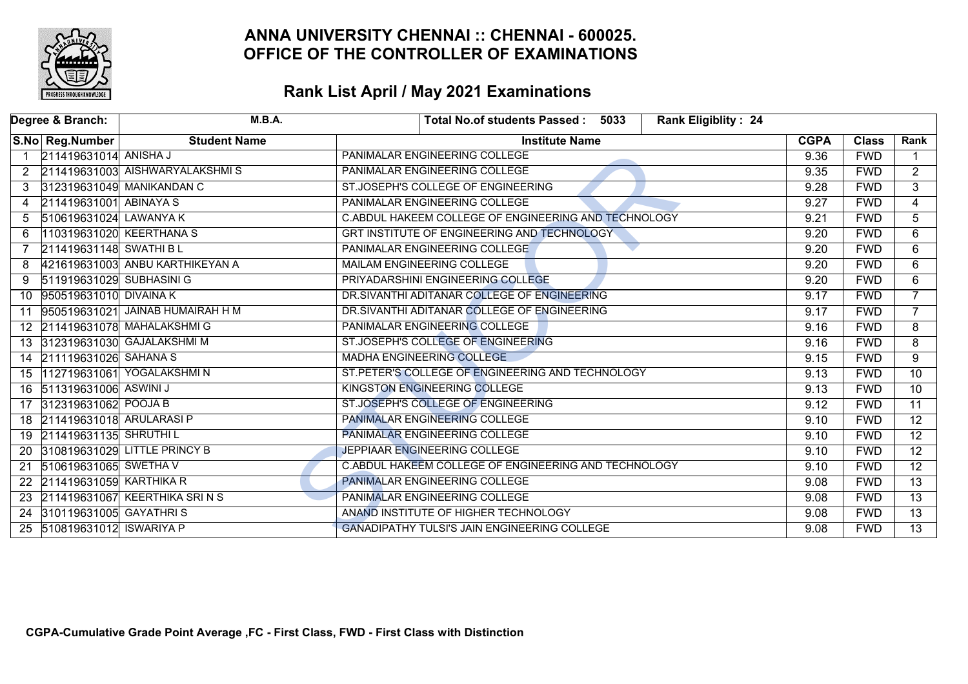

|           | Degree & Branch:            | M.B.A.                           | Total No.of students Passed: 5033<br><b>Rank Eligiblity: 24</b> |             |              |                 |
|-----------|-----------------------------|----------------------------------|-----------------------------------------------------------------|-------------|--------------|-----------------|
|           | S.No Reg.Number             | <b>Student Name</b>              | <b>Institute Name</b>                                           | <b>CGPA</b> | <b>Class</b> | Rank            |
|           | 211419631014 ANISHA J       |                                  | PANIMALAR ENGINEERING COLLEGE                                   | 9.36        | <b>FWD</b>   |                 |
| 2         |                             | 211419631003 AISHWARYALAKSHMIS   | PANIMALAR ENGINEERING COLLEGE                                   | 9.35        | <b>FWD</b>   | $\overline{2}$  |
|           |                             | 312319631049 MANIKANDAN C        | ST.JOSEPH'S COLLEGE OF ENGINEERING                              | 9.28        | <b>FWD</b>   | 3               |
| 4         | 211419631001 ABINAYA S      |                                  | PANIMALAR ENGINEERING COLLEGE                                   | 9.27        | <b>FWD</b>   | $\overline{4}$  |
| 5         | 510619631024 LAWANYA K      |                                  | C.ABDUL HAKEEM COLLEGE OF ENGINEERING AND TECHNOLOGY            | 9.21        | <b>FWD</b>   | $\overline{5}$  |
| 6         | 110319631020 KEERTHANA S    |                                  | GRT INSTITUTE OF ENGINEERING AND TECHNOLOGY                     | 9.20        | <b>FWD</b>   | 6               |
|           | 211419631148 SWATHI BL      |                                  | PANIMALAR ENGINEERING COLLEGE                                   | 9.20        | <b>FWD</b>   | $\overline{6}$  |
| 8         |                             | 421619631003 ANBU KARTHIKEYAN A  | MAILAM ENGINEERING COLLEGE                                      | 9.20        | <b>FWD</b>   | 6               |
| 9         | 511919631029 SUBHASINI G    |                                  | PRIYADARSHINI ENGINEERING COLLEGE                               | 9.20        | <b>FWD</b>   | 6               |
| 10        | 950519631010 DIVAINA K      |                                  | DR.SIVANTHI ADITANAR COLLEGE OF ENGINEERING                     | 9.17        | <b>FWD</b>   | $\overline{7}$  |
| 11        |                             | 950519631021 JAINAB HUMAIRAH H M | DR.SIVANTHI ADITANAR COLLEGE OF ENGINEERING                     | 9.17        | <b>FWD</b>   | $\overline{7}$  |
|           |                             | 12 211419631078 MAHALAKSHMIG     | PANIMALAR ENGINEERING COLLEGE                                   | 9.16        | <b>FWD</b>   | 8               |
|           |                             | 13 312319631030 GAJALAKSHMI M    | ST.JOSEPH'S COLLEGE OF ENGINEERING                              | 9.16        | <b>FWD</b>   | 8               |
|           | 14 211119631026 SAHANA S    |                                  | <b>MADHA ENGINEERING COLLEGE</b>                                | 9.15        | <b>FWD</b>   | 9               |
|           |                             | 15 112719631061 YOGALAKSHMIN     | ST.PETER'S COLLEGE OF ENGINEERING AND TECHNOLOGY                | 9.13        | <b>FWD</b>   | $\overline{10}$ |
|           | 16 511319631006 ASWINI J    |                                  | KINGSTON ENGINEERING COLLEGE                                    | 9.13        | <b>FWD</b>   | $\overline{10}$ |
|           | 17 312319631062 POOJA B     |                                  | ST.JOSEPH'S COLLEGE OF ENGINEERING                              | 9.12        | <b>FWD</b>   | $\overline{11}$ |
|           | 18 211419631018 ARULARASI P |                                  | <b>PANIMALAR ENGINEERING COLLEGE</b>                            | 9.10        | <b>FWD</b>   | $\overline{12}$ |
|           | 19 211419631135 SHRUTHI L   |                                  | <b>PANIMALAR ENGINEERING COLLEGE</b>                            | 9.10        | <b>FWD</b>   | $\overline{12}$ |
| <b>20</b> |                             | 310819631029 LITTLE PRINCY B     | JEPPIAAR ENGINEERING COLLEGE                                    | 9.10        | <b>FWD</b>   | $\overline{12}$ |
| 21        | 510619631065 SWETHA V       |                                  | C.ABDUL HAKEEM COLLEGE OF ENGINEERING AND TECHNOLOGY            | 9.10        | <b>FWD</b>   | $\overline{12}$ |
|           | 22 211419631059 KARTHIKA R  |                                  | PANIMALAR ENGINEERING COLLEGE                                   | 9.08        | <b>FWD</b>   | $\overline{13}$ |
|           |                             | 23 211419631067 KEERTHIKA SRINS  | PANIMALAR ENGINEERING COLLEGE                                   | 9.08        | <b>FWD</b>   | $\overline{13}$ |
| 24        | 310119631005 GAYATHRIS      |                                  | ANAND INSTITUTE OF HIGHER TECHNOLOGY                            | 9.08        | <b>FWD</b>   | $\overline{13}$ |
|           | 25 510819631012 ISWARIYA P  |                                  | <b>GANADIPATHY TULSI'S JAIN ENGINEERING COLLEGE</b>             | 9.08        | <b>FWD</b>   | $\overline{13}$ |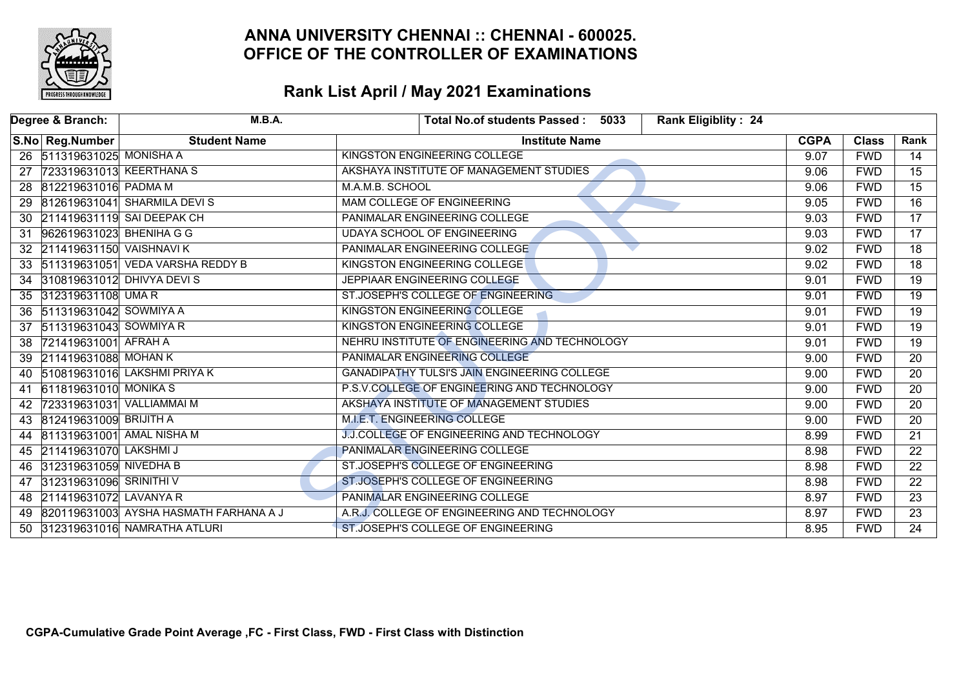

|    | Degree & Branch:             | M.B.A.                                 | <b>Rank Eligiblity: 24</b><br>Total No.of students Passed: 5033 |             |              |                 |
|----|------------------------------|----------------------------------------|-----------------------------------------------------------------|-------------|--------------|-----------------|
|    | S.No Reg.Number              | <b>Student Name</b>                    | <b>Institute Name</b>                                           | <b>CGPA</b> | <b>Class</b> | Rank            |
|    | 26 511319631025 MONISHA A    |                                        | KINGSTON ENGINEERING COLLEGE                                    | 9.07        | <b>FWD</b>   | 14              |
| 27 | 723319631013 KEERTHANA S     |                                        | AKSHAYA INSTITUTE OF MANAGEMENT STUDIES                         | 9.06        | <b>FWD</b>   | $\overline{15}$ |
|    | 28 812219631016 PADMA M      |                                        | M.A.M.B. SCHOOL                                                 | 9.06        | <b>FWD</b>   | $\overline{15}$ |
|    |                              | 29 812619631041 SHARMILA DEVIS         | <b>MAM COLLEGE OF ENGINEERING</b>                               | 9.05        | <b>FWD</b>   | $\overline{16}$ |
|    |                              | 30 211419631119 SAI DEEPAK CH          | PANIMALAR ENGINEERING COLLEGE                                   | 9.03        | <b>FWD</b>   | 17              |
| 31 | 962619631023 BHENIHA G G     |                                        | <b>UDAYA SCHOOL OF ENGINEERING</b>                              | 9.03        | <b>FWD</b>   | $\overline{17}$ |
|    | 32 211419631150 VAISHNAVI K  |                                        | PANIMALAR ENGINEERING COLLEGE                                   | 9.02        | <b>FWD</b>   | $\overline{18}$ |
|    |                              | 33 511319631051 VEDA VARSHA REDDY B    | KINGSTON ENGINEERING COLLEGE                                    | 9.02        | <b>FWD</b>   | $\overline{18}$ |
|    |                              | 34 310819631012 DHIVYA DEVI S          | JEPPIAAR ENGINEERING COLLEGE                                    | 9.01        | <b>FWD</b>   | $\overline{19}$ |
|    | 35 312319631108 UMA R        |                                        | ST.JOSEPH'S COLLEGE OF ENGINEERING                              | 9.01        | <b>FWD</b>   | $\overline{19}$ |
|    | 36 511319631042 SOWMIYA A    |                                        | KINGSTON ENGINEERING COLLEGE                                    | 9.01        | <b>FWD</b>   | $\overline{19}$ |
|    | 37 511319631043 SOWMIYA R    |                                        | KINGSTON ENGINEERING COLLEGE                                    | 9.01        | <b>FWD</b>   | $\overline{19}$ |
| 38 | 721419631001 AFRAH A         |                                        | NEHRU INSTITUTE OF ENGINEERING AND TECHNOLOGY                   | 9.01        | <b>FWD</b>   | $\overline{19}$ |
|    | 39 211419631088 MOHAN K      |                                        | PANIMALAR ENGINEERING COLLEGE                                   | 9.00        | <b>FWD</b>   | $\overline{20}$ |
|    |                              | 40 510819631016 LAKSHMI PRIYA K        | <b>GANADIPATHY TULSI'S JAIN ENGINEERING COLLEGE</b>             | 9.00        | <b>FWD</b>   | $\overline{20}$ |
| 41 | 611819631010 MONIKA S        |                                        | P.S.V.COLLEGE OF ENGINEERING AND TECHNOLOGY                     | 9.00        | <b>FWD</b>   | $\overline{20}$ |
| 42 | 723319631031 VALLIAMMAI M    |                                        | AKSHAYA INSTITUTE OF MANAGEMENT STUDIES                         | 9.00        | <b>FWD</b>   | $\overline{20}$ |
|    | 43 812419631009 BRIJITH A    |                                        | <b>M.I.E.T. ENGINEERING COLLEGE</b>                             | 9.00        | <b>FWD</b>   | $\overline{20}$ |
|    | 44 811319631001 AMAL NISHA M |                                        | <b>J.J.COLLEGE OF ENGINEERING AND TECHNOLOGY</b>                | 8.99        | <b>FWD</b>   | $\overline{21}$ |
|    | 45 211419631070 LAKSHMI J    |                                        | PANIMALAR ENGINEERING COLLEGE                                   | 8.98        | <b>FWD</b>   | $\overline{22}$ |
|    | 46 312319631059 NIVEDHA B    |                                        | ST.JOSEPH'S COLLEGE OF ENGINEERING                              | 8.98        | <b>FWD</b>   | $\overline{22}$ |
|    | 47 312319631096 SRINITHIV    |                                        | ST.JOSEPH'S COLLEGE OF ENGINEERING                              | 8.98        | <b>FWD</b>   | $\overline{22}$ |
|    | 48 211419631072 LAVANYA R    |                                        | PANIMALAR ENGINEERING COLLEGE                                   | 8.97        | <b>FWD</b>   | $\overline{23}$ |
| 49 |                              | 820119631003 AYSHA HASMATH FARHANA A J | A.R.J. COLLEGE OF ENGINEERING AND TECHNOLOGY                    | 8.97        | <b>FWD</b>   | $\overline{23}$ |
|    |                              | 50 312319631016 NAMRATHA ATLURI        | ST.JOSEPH'S COLLEGE OF ENGINEERING                              | 8.95        | <b>FWD</b>   | $\overline{24}$ |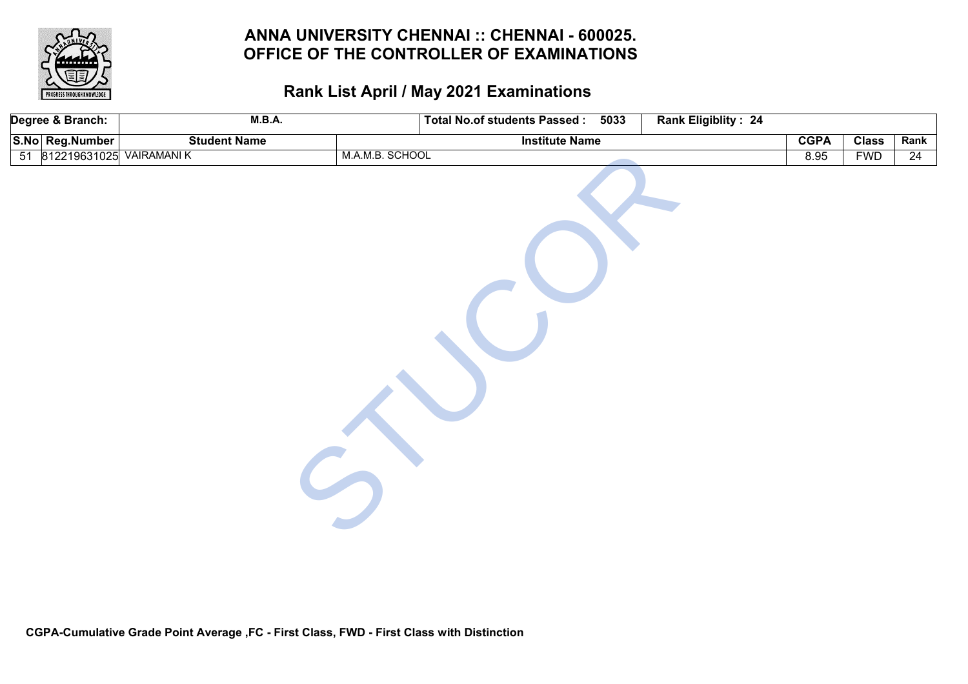

| Degree & Branch:           | M.B.A.              | <b>Total No.of students Passed:</b><br>5033 | Rank Eligiblity: 24 |              |      |
|----------------------------|---------------------|---------------------------------------------|---------------------|--------------|------|
| S.No Reg.Number            | <b>Student Name</b> | <b>Institute Name</b>                       | <b>CGPA</b>         | <b>Class</b> | Rank |
| 51 812219631025 VAIRAMANIK |                     | M.A.M.B. SCHOOL                             | 8.95                | <b>FWD</b>   | 24   |
|                            |                     |                                             |                     |              |      |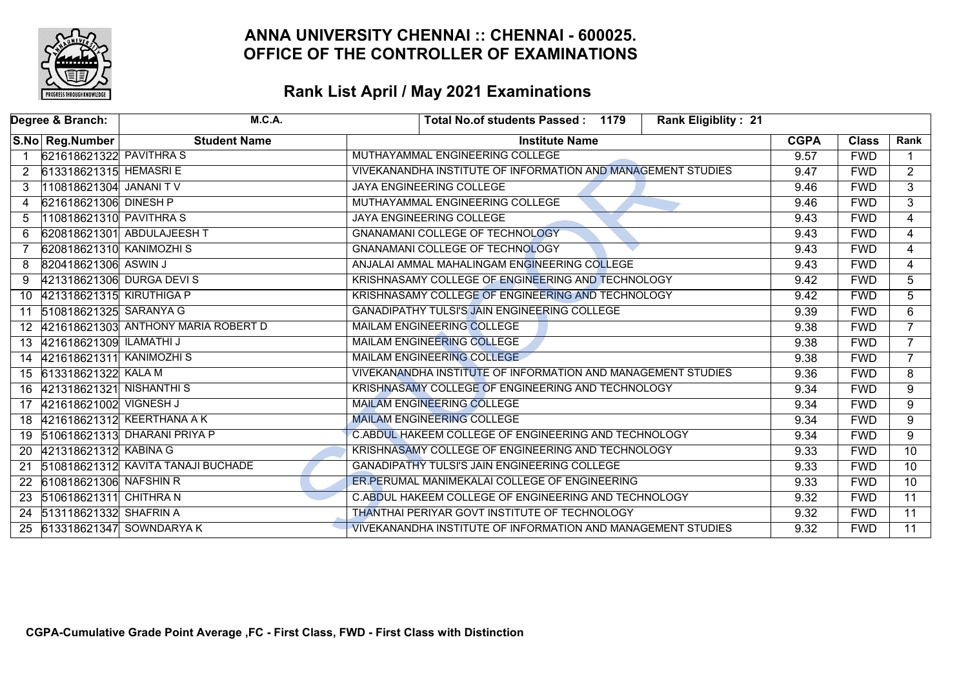

| Degree & Branch:                            | <b>M.C.A.</b>                            | Total No.of students Passed: 1179<br><b>Rank Eligiblity: 21</b> |             |              |                 |
|---------------------------------------------|------------------------------------------|-----------------------------------------------------------------|-------------|--------------|-----------------|
| S.No Reg.Number                             | <b>Student Name</b>                      | <b>Institute Name</b>                                           | <b>CGPA</b> | <b>Class</b> | Rank            |
| 621618621322 PAVITHRA S                     |                                          | MUTHAYAMMAL ENGINEERING COLLEGE                                 | 9.57        | <b>FWD</b>   |                 |
| 613318621315 HEMASRIE<br>2                  |                                          | VIVEKANANDHA INSTITUTE OF INFORMATION AND MANAGEMENT STUDIES    | 9.47        | <b>FWD</b>   | $\overline{2}$  |
| 110818621304 JANANI TV<br>3                 |                                          | JAYA ENGINEERING COLLEGE                                        | 9.46        | <b>FWD</b>   | $\overline{3}$  |
| 621618621306 DINESH P<br>4                  |                                          | MUTHAYAMMAL ENGINEERING COLLEGE                                 | 9.46        | <b>FWD</b>   | $\overline{3}$  |
| 110818621310 PAVITHRA S<br>5                |                                          | JAYA ENGINEERING COLLEGE                                        | 9.43        | <b>FWD</b>   | 4               |
| 6                                           | 620818621301 ABDULAJEESH T               | <b>GNANAMANI COLLEGE OF TECHNOLOGY</b>                          | 9.43        | <b>FWD</b>   | $\overline{4}$  |
| 620818621310 KANIMOZHI S                    |                                          | <b>GNANAMANI COLLEGE OF TECHNOLOGY</b>                          | 9.43        | <b>FWD</b>   | $\overline{4}$  |
| 820418621306 ASWIN J<br>8                   |                                          | ANJALAI AMMAL MAHALINGAM ENGINEERING COLLEGE                    | 9.43        | <b>FWD</b>   | 4               |
| 9                                           | 421318621306 DURGA DEVIS                 | KRISHNASAMY COLLEGE OF ENGINEERING AND TECHNOLOGY               | 9.42        | <b>FWD</b>   | 5               |
| 421318621315 KIRUTHIGA P<br>10 <sup>°</sup> |                                          | KRISHNASAMY COLLEGE OF ENGINEERING AND TECHNOLOGY               | 9.42        | <b>FWD</b>   | $\overline{5}$  |
| 510818621325 SARANYA G<br>11                |                                          | <b>GANADIPATHY TULSI'S JAIN ENGINEERING COLLEGE</b>             | 9.39        | <b>FWD</b>   | 6               |
|                                             | 12   421618621303 ANTHONY MARIA ROBERT D | MAILAM ENGINEERING COLLEGE                                      | 9.38        | <b>FWD</b>   | $\overline{7}$  |
| 421618621309 ILAMATHI J<br>13               |                                          | <b>MAILAM ENGINEERING COLLEGE</b>                               | 9.38        | <b>FWD</b>   | $\overline{7}$  |
| 421618621311 KANIMOZHI S<br>14              |                                          | <b>MAILAM ENGINEERING COLLEGE</b>                               | 9.38        | <b>FWD</b>   | $\overline{7}$  |
| 15 613318621322 KALA M                      |                                          | VIVEKANANDHA INSTITUTE OF INFORMATION AND MANAGEMENT STUDIES    | 9.36        | <b>FWD</b>   | $\overline{8}$  |
| 421318621321 NISHANTHIS<br>16               |                                          | KRISHNASAMY COLLEGE OF ENGINEERING AND TECHNOLOGY               | 9.34        | <b>FWD</b>   | 9               |
| 421618621002 VIGNESH J<br>17                |                                          | <b>MAILAM ENGINEERING COLLEGE</b>                               | 9.34        | <b>FWD</b>   | 9               |
| 18 421618621312 KEERTHANA A K               |                                          | <b>MAILAM ENGINEERING COLLEGE</b>                               | 9.34        | <b>FWD</b>   | $\overline{9}$  |
| 19                                          | 510618621313 DHARANI PRIYA P             | C.ABDUL HAKEEM COLLEGE OF ENGINEERING AND TECHNOLOGY            | 9.34        | <b>FWD</b>   | 9               |
| 421318621312 KABINA G<br><b>20</b>          |                                          | KRISHNASAMY COLLEGE OF ENGINEERING AND TECHNOLOGY               | 9.33        | <b>FWD</b>   | $\overline{10}$ |
| 21                                          | 510818621312 KAVITA TANAJI BUCHADE       | GANADIPATHY TULSI'S JAIN ENGINEERING COLLEGE                    | 9.33        | <b>FWD</b>   | $\overline{10}$ |
| 610818621306 NAFSHIN R<br>22                |                                          | ER PERUMAL MANIMEKALAI COLLEGE OF ENGINEERING                   | 9.33        | <b>FWD</b>   | $\overline{10}$ |
| 510618621311 CHITHRA N<br>23                |                                          | C.ABDUL HAKEEM COLLEGE OF ENGINEERING AND TECHNOLOGY            | 9.32        | <b>FWD</b>   | $\overline{11}$ |
| 513118621332 SHAFRIN A<br>24                |                                          | THANTHAI PERIYAR GOVT INSTITUTE OF TECHNOLOGY                   | 9.32        | <b>FWD</b>   | $\overline{11}$ |
| 25                                          | 613318621347 SOWNDARYA K                 | VIVEKANANDHA INSTITUTE OF INFORMATION AND MANAGEMENT STUDIES    | 9.32        | <b>FWD</b>   | $\overline{11}$ |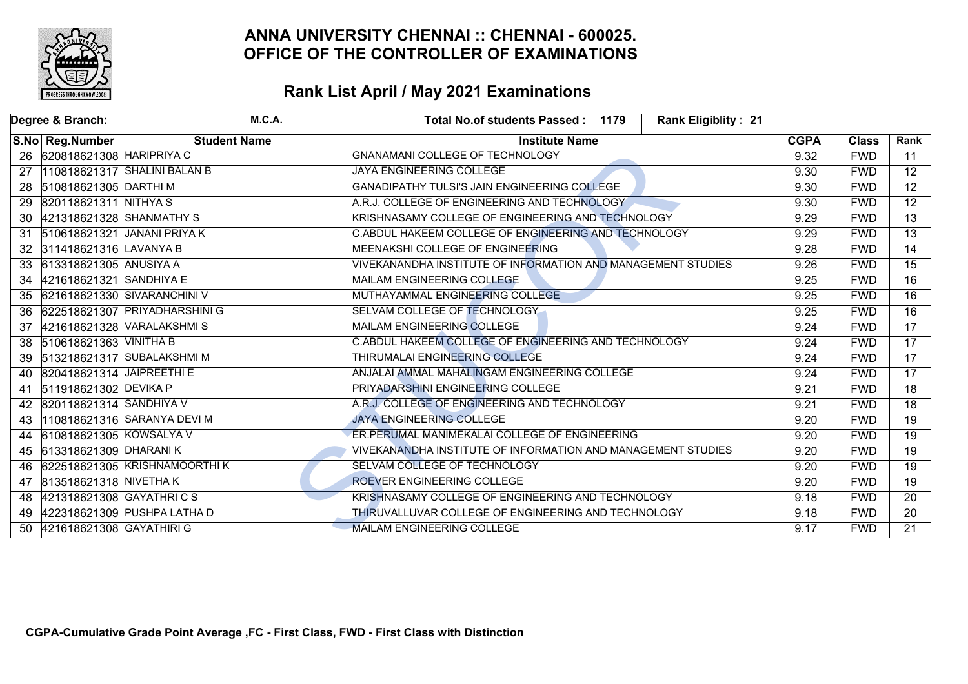

|    | Degree & Branch:             | <b>M.C.A.</b>                  | <b>Rank Eligiblity: 21</b><br>Total No.of students Passed: 1179 |             |              |                 |
|----|------------------------------|--------------------------------|-----------------------------------------------------------------|-------------|--------------|-----------------|
|    | S.No Reg.Number              | <b>Student Name</b>            | <b>Institute Name</b>                                           | <b>CGPA</b> | <b>Class</b> | Rank            |
|    | 26 620818621308 HARIPRIYA C  |                                | <b>GNANAMANI COLLEGE OF TECHNOLOGY</b>                          | 9.32        | <b>FWD</b>   | 11              |
| 27 |                              | 110818621317 SHALINI BALAN B   | <b>JAYA ENGINEERING COLLEGE</b>                                 | 9.30        | <b>FWD</b>   | $\overline{12}$ |
|    | 28 510818621305 DARTHIM      |                                | GANADIPATHY TULSI'S JAIN ENGINEERING COLLEGE                    | 9.30        | <b>FWD</b>   | $\overline{12}$ |
|    | 29 820118621311 NITHYAS      |                                | A.R.J. COLLEGE OF ENGINEERING AND TECHNOLOGY                    | 9.30        | <b>FWD</b>   | $\overline{12}$ |
| 30 |                              | 421318621328 SHANMATHY S       | KRISHNASAMY COLLEGE OF ENGINEERING AND TECHNOLOGY               | 9.29        | <b>FWD</b>   | $\overline{13}$ |
|    |                              | 31 510618621321 JANANI PRIYA K | C.ABDUL HAKEEM COLLEGE OF ENGINEERING AND TECHNOLOGY            | 9.29        | <b>FWD</b>   | $\overline{13}$ |
|    | 32 311418621316 LAVANYA B    |                                | MEENAKSHI COLLEGE OF ENGINEERING                                | 9.28        | <b>FWD</b>   | $\overline{14}$ |
|    | 33 613318621305 ANUSIYA A    |                                | VIVEKANANDHA INSTITUTE OF INFORMATION AND MANAGEMENT STUDIES    | 9.26        | <b>FWD</b>   | $\overline{15}$ |
|    | 34 421618621321 SANDHIYA E   |                                | MAILAM ENGINEERING COLLEGE                                      | 9.25        | <b>FWD</b>   | $\overline{16}$ |
| 35 |                              | 621618621330 SIVARANCHINI V    | MUTHAYAMMAL ENGINEERING COLLEGE                                 | 9.25        | <b>FWD</b>   | $\overline{16}$ |
| 36 |                              | 622518621307 PRIYADHARSHINI G  | SELVAM COLLEGE OF TECHNOLOGY                                    | 9.25        | <b>FWD</b>   | $\overline{16}$ |
|    |                              | 37 421618621328 VARALAKSHMIS   | <b>MAILAM ENGINEERING COLLEGE</b>                               | 9.24        | <b>FWD</b>   | $\overline{17}$ |
|    | 38 510618621363 VINITHA B    |                                | C.ABDUL HAKEEM COLLEGE OF ENGINEERING AND TECHNOLOGY            | 9.24        | <b>FWD</b>   | $\overline{17}$ |
|    |                              | 39 513218621317 SUBALAKSHMIM   | <b>THIRUMALAI ENGINEERING COLLEGE</b>                           | 9.24        | <b>FWD</b>   | $\overline{17}$ |
|    | 40 820418621314 JAIPREETHI E |                                | ANJALAI AMMAL MAHALINGAM ENGINEERING COLLEGE                    | 9.24        | <b>FWD</b>   | $\overline{17}$ |
| 41 | 511918621302 DEVIKA P        |                                | PRIYADARSHINI ENGINEERING COLLEGE                               | 9.21        | <b>FWD</b>   | $\overline{18}$ |
|    | 42 820118621314 SANDHIYA V   |                                | A.R.J. COLLEGE OF ENGINEERING AND TECHNOLOGY                    | 9.21        | <b>FWD</b>   | $\overline{18}$ |
|    |                              | 43 110818621316 SARANYA DEVI M | <b>JAYA ENGINEERING COLLEGE</b>                                 | 9.20        | <b>FWD</b>   | $\overline{19}$ |
|    | 44 610818621305 KOWSALYA V   |                                | ER.PERUMAL MANIMEKALAI COLLEGE OF ENGINEERING                   | 9.20        | <b>FWD</b>   | $\overline{19}$ |
|    | 45 613318621309 DHARANIK     |                                | VIVEKANANDHA INSTITUTE OF INFORMATION AND MANAGEMENT STUDIES    | 9.20        | <b>FWD</b>   | $\overline{19}$ |
| 46 |                              | 622518621305 KRISHNAMOORTHIK   | SELVAM COLLEGE OF TECHNOLOGY                                    | 9.20        | <b>FWD</b>   | $\overline{19}$ |
|    | 47 813518621318 NIVETHA K    |                                | ROEVER ENGINEERING COLLEGE                                      | 9.20        | <b>FWD</b>   | $\overline{19}$ |
|    | 48 421318621308 GAYATHRICS   |                                | KRISHNASAMY COLLEGE OF ENGINEERING AND TECHNOLOGY               | 9.18        | <b>FWD</b>   | $\overline{20}$ |
| 49 |                              | 422318621309 PUSHPA LATHA D    | THIRUVALLUVAR COLLEGE OF ENGINEERING AND TECHNOLOGY             | 9.18        | <b>FWD</b>   | $\overline{20}$ |
| 50 | 421618621308 GAYATHIRI G     |                                | MAILAM ENGINEERING COLLEGE                                      | 9.17        | <b>FWD</b>   | $\overline{21}$ |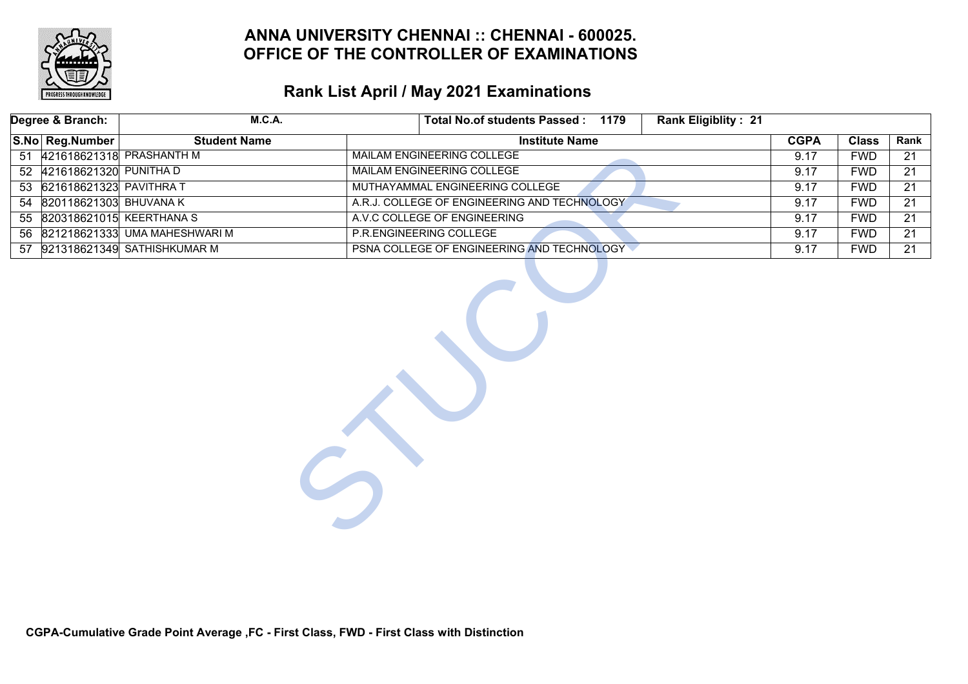

| Degree & Branch:           |  | <b>M.C.A.</b>                    |  | Total No.of students Passed: 1179            |                       |  | Rank Eligiblity: 21 |             |                 |                 |
|----------------------------|--|----------------------------------|--|----------------------------------------------|-----------------------|--|---------------------|-------------|-----------------|-----------------|
| S.No Reg.Number            |  | <b>Student Name</b>              |  |                                              | <b>Institute Name</b> |  |                     | <b>CGPA</b> | <b>Class</b>    | Rank            |
|                            |  | 51 421618621318 PRASHANTH M      |  | <b>MAILAM ENGINEERING COLLEGE</b>            |                       |  |                     | 9.17        | <b>FWD</b>      | 21              |
| 52 421618621320 PUNITHA D  |  |                                  |  | <b>MAILAM ENGINEERING COLLEGE</b>            |                       |  |                     | 9.17        | <b>FWD</b>      | 21              |
| 53 621618621323 PAVITHRA T |  |                                  |  | MUTHAYAMMAL ENGINEERING COLLEGE              |                       |  |                     | 9.17        | <b>FWD</b>      | $\overline{21}$ |
|                            |  | 54 820118621303 BHUVANA K        |  | A.R.J. COLLEGE OF ENGINEERING AND TECHNOLOGY |                       |  |                     | 9.17        | <b>FWD</b>      | $\overline{21}$ |
|                            |  | 55 820318621015 KEERTHANA S      |  | A.V.C COLLEGE OF ENGINEERING                 |                       |  | 9.17                | <b>FWD</b>  | $\overline{21}$ |                 |
|                            |  | 56 821218621333 UMA MAHESHWARI M |  | P.R.ENGINEERING COLLEGE                      |                       |  | 9.17                | <b>FWD</b>  | 21              |                 |
|                            |  | 57 921318621349 SATHISHKUMAR M   |  | PSNA COLLEGE OF ENGINEERING AND TECHNOLOGY   |                       |  |                     | 9.17        | <b>FWD</b>      | $\overline{21}$ |
|                            |  |                                  |  |                                              |                       |  |                     |             |                 |                 |